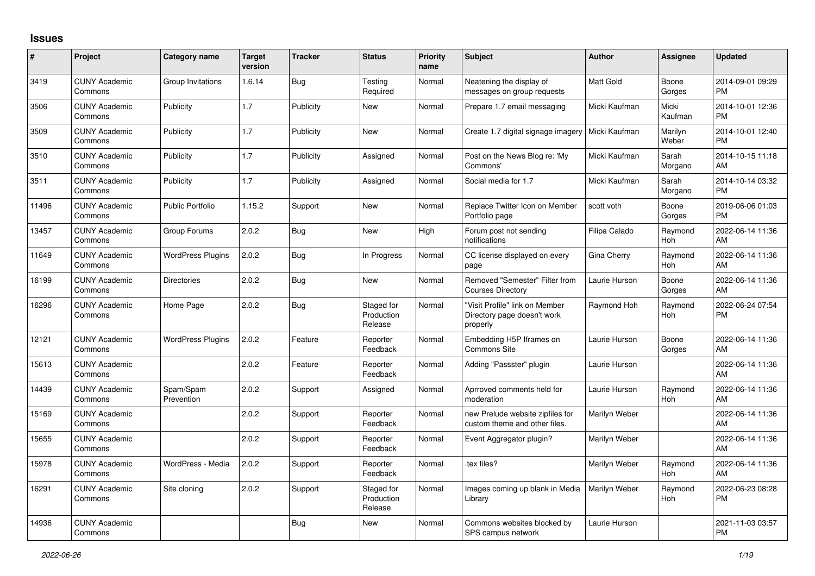## **Issues**

| #     | Project                         | <b>Category name</b>     | <b>Target</b><br>version | <b>Tracker</b> | <b>Status</b>                       | <b>Priority</b><br>name | <b>Subject</b>                                                            | <b>Author</b>    | <b>Assignee</b>  | <b>Updated</b>                |
|-------|---------------------------------|--------------------------|--------------------------|----------------|-------------------------------------|-------------------------|---------------------------------------------------------------------------|------------------|------------------|-------------------------------|
| 3419  | <b>CUNY Academic</b><br>Commons | Group Invitations        | 1.6.14                   | Bug            | Testing<br>Required                 | Normal                  | Neatening the display of<br>messages on group requests                    | <b>Matt Gold</b> | Boone<br>Gorges  | 2014-09-01 09:29<br><b>PM</b> |
| 3506  | <b>CUNY Academic</b><br>Commons | Publicity                | 1.7                      | Publicity      | New                                 | Normal                  | Prepare 1.7 email messaging                                               | Micki Kaufman    | Micki<br>Kaufman | 2014-10-01 12:36<br><b>PM</b> |
| 3509  | <b>CUNY Academic</b><br>Commons | Publicity                | 1.7                      | Publicity      | <b>New</b>                          | Normal                  | Create 1.7 digital signage imagery                                        | Micki Kaufman    | Marilyn<br>Weber | 2014-10-01 12:40<br><b>PM</b> |
| 3510  | <b>CUNY Academic</b><br>Commons | Publicity                | 1.7                      | Publicity      | Assigned                            | Normal                  | Post on the News Blog re: 'My<br>Commons'                                 | Micki Kaufman    | Sarah<br>Morgano | 2014-10-15 11:18<br>AM        |
| 3511  | <b>CUNY Academic</b><br>Commons | Publicity                | 1.7                      | Publicity      | Assigned                            | Normal                  | Social media for 1.7                                                      | Micki Kaufman    | Sarah<br>Morgano | 2014-10-14 03:32<br><b>PM</b> |
| 11496 | <b>CUNY Academic</b><br>Commons | <b>Public Portfolio</b>  | 1.15.2                   | Support        | <b>New</b>                          | Normal                  | Replace Twitter Icon on Member<br>Portfolio page                          | scott voth       | Boone<br>Gorges  | 2019-06-06 01:03<br><b>PM</b> |
| 13457 | <b>CUNY Academic</b><br>Commons | Group Forums             | 2.0.2                    | Bug            | <b>New</b>                          | High                    | Forum post not sending<br>notifications                                   | Filipa Calado    | Raymond<br>Hoh   | 2022-06-14 11:36<br>AM        |
| 11649 | <b>CUNY Academic</b><br>Commons | <b>WordPress Plugins</b> | 2.0.2                    | Bug            | In Progress                         | Normal                  | CC license displayed on every<br>page                                     | Gina Cherry      | Raymond<br>Hoh   | 2022-06-14 11:36<br>AM        |
| 16199 | <b>CUNY Academic</b><br>Commons | Directories              | 2.0.2                    | Bug            | <b>New</b>                          | Normal                  | Removed "Semester" Filter from<br><b>Courses Directory</b>                | Laurie Hurson    | Boone<br>Gorges  | 2022-06-14 11:36<br>AM        |
| 16296 | <b>CUNY Academic</b><br>Commons | Home Page                | 2.0.2                    | Bug            | Staged for<br>Production<br>Release | Normal                  | "Visit Profile" link on Member<br>Directory page doesn't work<br>properly | Raymond Hoh      | Raymond<br>Hoh   | 2022-06-24 07:54<br><b>PM</b> |
| 12121 | <b>CUNY Academic</b><br>Commons | <b>WordPress Plugins</b> | 2.0.2                    | Feature        | Reporter<br>Feedback                | Normal                  | Embedding H5P Iframes on<br><b>Commons Site</b>                           | Laurie Hurson    | Boone<br>Gorges  | 2022-06-14 11:36<br>AM        |
| 15613 | <b>CUNY Academic</b><br>Commons |                          | 2.0.2                    | Feature        | Reporter<br>Feedback                | Normal                  | Adding "Passster" plugin                                                  | Laurie Hurson    |                  | 2022-06-14 11:36<br>AM        |
| 14439 | <b>CUNY Academic</b><br>Commons | Spam/Spam<br>Prevention  | 2.0.2                    | Support        | Assigned                            | Normal                  | Aprroved comments held for<br>moderation                                  | Laurie Hurson    | Raymond<br>Hoh   | 2022-06-14 11:36<br>AM        |
| 15169 | <b>CUNY Academic</b><br>Commons |                          | 2.0.2                    | Support        | Reporter<br>Feedback                | Normal                  | new Prelude website zipfiles for<br>custom theme and other files.         | Marilyn Weber    |                  | 2022-06-14 11:36<br>AM        |
| 15655 | <b>CUNY Academic</b><br>Commons |                          | 2.0.2                    | Support        | Reporter<br>Feedback                | Normal                  | Event Aggregator plugin?                                                  | Marilyn Weber    |                  | 2022-06-14 11:36<br>AM        |
| 15978 | <b>CUNY Academic</b><br>Commons | WordPress - Media        | 2.0.2                    | Support        | Reporter<br>Feedback                | Normal                  | tex files?                                                                | Marilyn Weber    | Raymond<br>Hoh   | 2022-06-14 11:36<br>AM        |
| 16291 | <b>CUNY Academic</b><br>Commons | Site cloning             | 2.0.2                    | Support        | Staged for<br>Production<br>Release | Normal                  | Images coming up blank in Media<br>Library                                | Marilyn Weber    | Raymond<br>Hoh   | 2022-06-23 08:28<br><b>PM</b> |
| 14936 | <b>CUNY Academic</b><br>Commons |                          |                          | Bug            | <b>New</b>                          | Normal                  | Commons websites blocked by<br>SPS campus network                         | Laurie Hurson    |                  | 2021-11-03 03:57<br><b>PM</b> |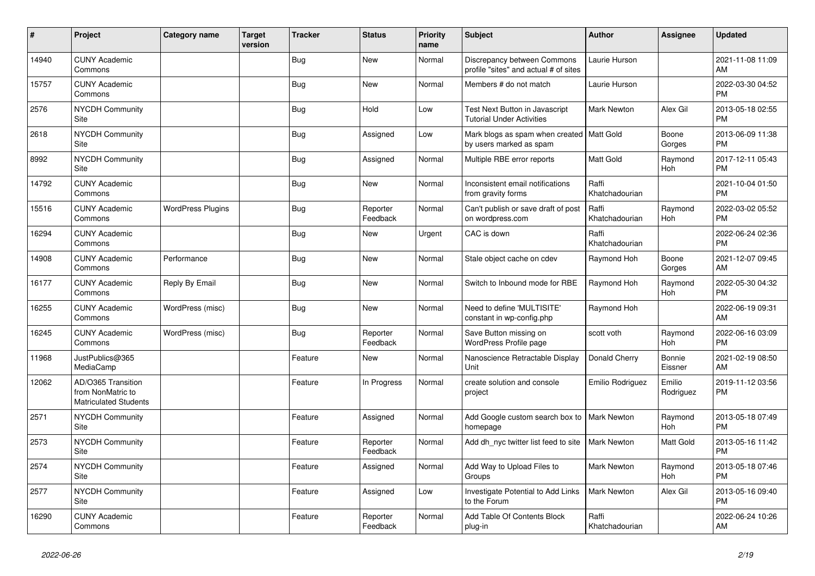| #     | Project                                                                 | Category name            | <b>Target</b><br>version | Tracker    | <b>Status</b>        | <b>Priority</b><br>name | <b>Subject</b>                                                         | <b>Author</b>           | <b>Assignee</b>       | <b>Updated</b>                |
|-------|-------------------------------------------------------------------------|--------------------------|--------------------------|------------|----------------------|-------------------------|------------------------------------------------------------------------|-------------------------|-----------------------|-------------------------------|
| 14940 | <b>CUNY Academic</b><br>Commons                                         |                          |                          | <b>Bug</b> | <b>New</b>           | Normal                  | Discrepancy between Commons<br>profile "sites" and actual # of sites   | Laurie Hurson           |                       | 2021-11-08 11:09<br>AM        |
| 15757 | <b>CUNY Academic</b><br>Commons                                         |                          |                          | <b>Bug</b> | <b>New</b>           | Normal                  | Members # do not match                                                 | Laurie Hurson           |                       | 2022-03-30 04:52<br><b>PM</b> |
| 2576  | <b>NYCDH Community</b><br>Site                                          |                          |                          | Bug        | Hold                 | Low                     | Test Next Button in Javascript<br><b>Tutorial Under Activities</b>     | <b>Mark Newton</b>      | Alex Gil              | 2013-05-18 02:55<br><b>PM</b> |
| 2618  | <b>NYCDH Community</b><br>Site                                          |                          |                          | <b>Bug</b> | Assigned             | Low                     | Mark blogs as spam when created   Matt Gold<br>by users marked as spam |                         | Boone<br>Gorges       | 2013-06-09 11:38<br><b>PM</b> |
| 8992  | <b>NYCDH Community</b><br>Site                                          |                          |                          | Bug        | Assigned             | Normal                  | Multiple RBE error reports                                             | Matt Gold               | Raymond<br>Hoh        | 2017-12-11 05:43<br><b>PM</b> |
| 14792 | <b>CUNY Academic</b><br>Commons                                         |                          |                          | <b>Bug</b> | New                  | Normal                  | Inconsistent email notifications<br>from gravity forms                 | Raffi<br>Khatchadourian |                       | 2021-10-04 01:50<br><b>PM</b> |
| 15516 | <b>CUNY Academic</b><br>Commons                                         | <b>WordPress Plugins</b> |                          | Bug        | Reporter<br>Feedback | Normal                  | Can't publish or save draft of post<br>on wordpress.com                | Raffi<br>Khatchadourian | Raymond<br>Hoh        | 2022-03-02 05:52<br><b>PM</b> |
| 16294 | <b>CUNY Academic</b><br>Commons                                         |                          |                          | <b>Bug</b> | <b>New</b>           | Urgent                  | CAC is down                                                            | Raffi<br>Khatchadourian |                       | 2022-06-24 02:36<br><b>PM</b> |
| 14908 | <b>CUNY Academic</b><br>Commons                                         | Performance              |                          | <b>Bug</b> | New                  | Normal                  | Stale object cache on cdev                                             | Raymond Hoh             | Boone<br>Gorges       | 2021-12-07 09:45<br>AM        |
| 16177 | <b>CUNY Academic</b><br>Commons                                         | Reply By Email           |                          | <b>Bug</b> | <b>New</b>           | Normal                  | Switch to Inbound mode for RBE                                         | Raymond Hoh             | Raymond<br><b>Hoh</b> | 2022-05-30 04:32<br><b>PM</b> |
| 16255 | <b>CUNY Academic</b><br>Commons                                         | WordPress (misc)         |                          | <b>Bug</b> | <b>New</b>           | Normal                  | Need to define 'MULTISITE'<br>constant in wp-config.php                | Raymond Hoh             |                       | 2022-06-19 09:31<br>AM        |
| 16245 | <b>CUNY Academic</b><br>Commons                                         | WordPress (misc)         |                          | Bug        | Reporter<br>Feedback | Normal                  | Save Button missing on<br>WordPress Profile page                       | scott voth              | Raymond<br>Hoh        | 2022-06-16 03:09<br><b>PM</b> |
| 11968 | JustPublics@365<br>MediaCamp                                            |                          |                          | Feature    | <b>New</b>           | Normal                  | Nanoscience Retractable Display<br>Unit                                | Donald Cherry           | Bonnie<br>Eissner     | 2021-02-19 08:50<br>AM        |
| 12062 | AD/O365 Transition<br>from NonMatric to<br><b>Matriculated Students</b> |                          |                          | Feature    | In Progress          | Normal                  | create solution and console<br>project                                 | Emilio Rodriguez        | Emilio<br>Rodriguez   | 2019-11-12 03:56<br><b>PM</b> |
| 2571  | <b>NYCDH Community</b><br>Site                                          |                          |                          | Feature    | Assigned             | Normal                  | Add Google custom search box to   Mark Newton<br>homepage              |                         | Raymond<br>Hoh        | 2013-05-18 07:49<br><b>PM</b> |
| 2573  | <b>NYCDH Community</b><br>Site                                          |                          |                          | Feature    | Reporter<br>Feedback | Normal                  | Add dh nyc twitter list feed to site                                   | <b>Mark Newton</b>      | Matt Gold             | 2013-05-16 11:42<br><b>PM</b> |
| 2574  | <b>NYCDH Community</b><br>Site                                          |                          |                          | Feature    | Assigned             | Normal                  | Add Way to Upload Files to<br>Groups                                   | Mark Newton             | Raymond<br><b>Hoh</b> | 2013-05-18 07:46<br><b>PM</b> |
| 2577  | <b>NYCDH Community</b><br>Site                                          |                          |                          | Feature    | Assigned             | Low                     | Investigate Potential to Add Links<br>to the Forum                     | <b>Mark Newton</b>      | Alex Gil              | 2013-05-16 09:40<br><b>PM</b> |
| 16290 | <b>CUNY Academic</b><br>Commons                                         |                          |                          | Feature    | Reporter<br>Feedback | Normal                  | Add Table Of Contents Block<br>plug-in                                 | Raffi<br>Khatchadourian |                       | 2022-06-24 10:26<br>AM        |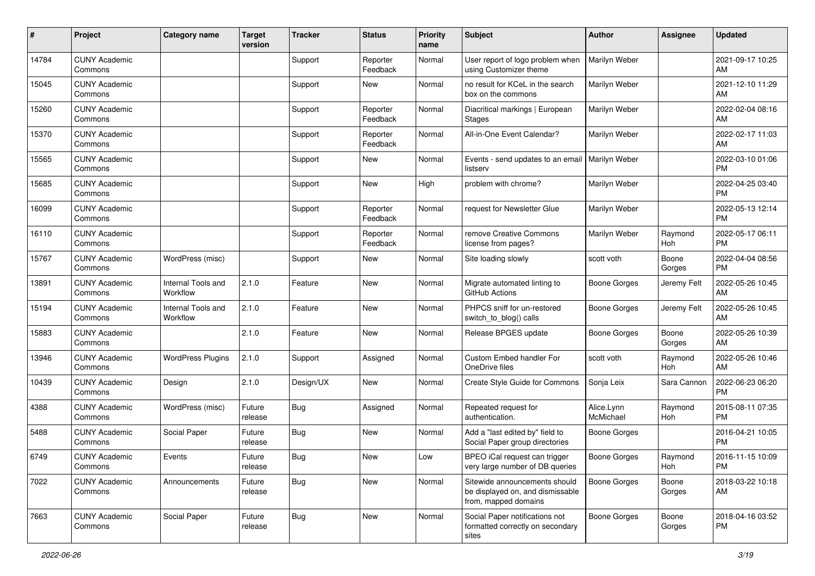| #     | Project                         | <b>Category name</b>           | Target<br>version | <b>Tracker</b> | <b>Status</b>        | <b>Priority</b><br>name | <b>Subject</b>                                                                            | <b>Author</b>           | Assignee        | <b>Updated</b>                |
|-------|---------------------------------|--------------------------------|-------------------|----------------|----------------------|-------------------------|-------------------------------------------------------------------------------------------|-------------------------|-----------------|-------------------------------|
| 14784 | <b>CUNY Academic</b><br>Commons |                                |                   | Support        | Reporter<br>Feedback | Normal                  | User report of logo problem when<br>using Customizer theme                                | Marilyn Weber           |                 | 2021-09-17 10:25<br>AM        |
| 15045 | <b>CUNY Academic</b><br>Commons |                                |                   | Support        | New                  | Normal                  | no result for KCeL in the search<br>box on the commons                                    | Marilyn Weber           |                 | 2021-12-10 11:29<br>AM        |
| 15260 | <b>CUNY Academic</b><br>Commons |                                |                   | Support        | Reporter<br>Feedback | Normal                  | Diacritical markings   European<br><b>Stages</b>                                          | Marilyn Weber           |                 | 2022-02-04 08:16<br>AM        |
| 15370 | <b>CUNY Academic</b><br>Commons |                                |                   | Support        | Reporter<br>Feedback | Normal                  | All-in-One Event Calendar?                                                                | Marilyn Weber           |                 | 2022-02-17 11:03<br>AM        |
| 15565 | <b>CUNY Academic</b><br>Commons |                                |                   | Support        | <b>New</b>           | Normal                  | Events - send updates to an email<br>listserv                                             | Marilyn Weber           |                 | 2022-03-10 01:06<br><b>PM</b> |
| 15685 | <b>CUNY Academic</b><br>Commons |                                |                   | Support        | New                  | High                    | problem with chrome?                                                                      | Marilyn Weber           |                 | 2022-04-25 03:40<br><b>PM</b> |
| 16099 | <b>CUNY Academic</b><br>Commons |                                |                   | Support        | Reporter<br>Feedback | Normal                  | request for Newsletter Glue                                                               | Marilyn Weber           |                 | 2022-05-13 12:14<br><b>PM</b> |
| 16110 | <b>CUNY Academic</b><br>Commons |                                |                   | Support        | Reporter<br>Feedback | Normal                  | remove Creative Commons<br>license from pages?                                            | Marilyn Weber           | Raymond<br>Hoh  | 2022-05-17 06:11<br><b>PM</b> |
| 15767 | <b>CUNY Academic</b><br>Commons | WordPress (misc)               |                   | Support        | New                  | Normal                  | Site loading slowly                                                                       | scott voth              | Boone<br>Gorges | 2022-04-04 08:56<br><b>PM</b> |
| 13891 | <b>CUNY Academic</b><br>Commons | Internal Tools and<br>Workflow | 2.1.0             | Feature        | New                  | Normal                  | Migrate automated linting to<br>GitHub Actions                                            | <b>Boone Gorges</b>     | Jeremy Felt     | 2022-05-26 10:45<br>AM        |
| 15194 | <b>CUNY Academic</b><br>Commons | Internal Tools and<br>Workflow | 2.1.0             | Feature        | New                  | Normal                  | PHPCS sniff for un-restored<br>switch_to_blog() calls                                     | Boone Gorges            | Jeremy Felt     | 2022-05-26 10:45<br>AM        |
| 15883 | <b>CUNY Academic</b><br>Commons |                                | 2.1.0             | Feature        | <b>New</b>           | Normal                  | Release BPGES update                                                                      | Boone Gorges            | Boone<br>Gorges | 2022-05-26 10:39<br>AM        |
| 13946 | <b>CUNY Academic</b><br>Commons | <b>WordPress Plugins</b>       | 2.1.0             | Support        | Assigned             | Normal                  | Custom Embed handler For<br>OneDrive files                                                | scott voth              | Raymond<br>Hoh  | 2022-05-26 10:46<br>AM        |
| 10439 | <b>CUNY Academic</b><br>Commons | Design                         | 2.1.0             | Design/UX      | New                  | Normal                  | <b>Create Style Guide for Commons</b>                                                     | Sonja Leix              | Sara Cannon     | 2022-06-23 06:20<br><b>PM</b> |
| 4388  | <b>CUNY Academic</b><br>Commons | WordPress (misc)               | Future<br>release | <b>Bug</b>     | Assigned             | Normal                  | Repeated request for<br>authentication.                                                   | Alice.Lynn<br>McMichael | Raymond<br>Hoh  | 2015-08-11 07:35<br><b>PM</b> |
| 5488  | <b>CUNY Academic</b><br>Commons | Social Paper                   | Future<br>release | <b>Bug</b>     | New                  | Normal                  | Add a "last edited by" field to<br>Social Paper group directories                         | <b>Boone Gorges</b>     |                 | 2016-04-21 10:05<br><b>PM</b> |
| 6749  | <b>CUNY Academic</b><br>Commons | Events                         | Future<br>release | <b>Bug</b>     | New                  | Low                     | BPEO iCal request can trigger<br>very large number of DB queries                          | <b>Boone Gorges</b>     | Raymond<br>Hoh  | 2016-11-15 10:09<br>PM        |
| 7022  | <b>CUNY Academic</b><br>Commons | Announcements                  | Future<br>release | <b>Bug</b>     | New                  | Normal                  | Sitewide announcements should<br>be displayed on, and dismissable<br>from, mapped domains | <b>Boone Gorges</b>     | Boone<br>Gorges | 2018-03-22 10:18<br>AM        |
| 7663  | <b>CUNY Academic</b><br>Commons | Social Paper                   | Future<br>release | Bug            | New                  | Normal                  | Social Paper notifications not<br>formatted correctly on secondary<br>sites               | Boone Gorges            | Boone<br>Gorges | 2018-04-16 03:52<br><b>PM</b> |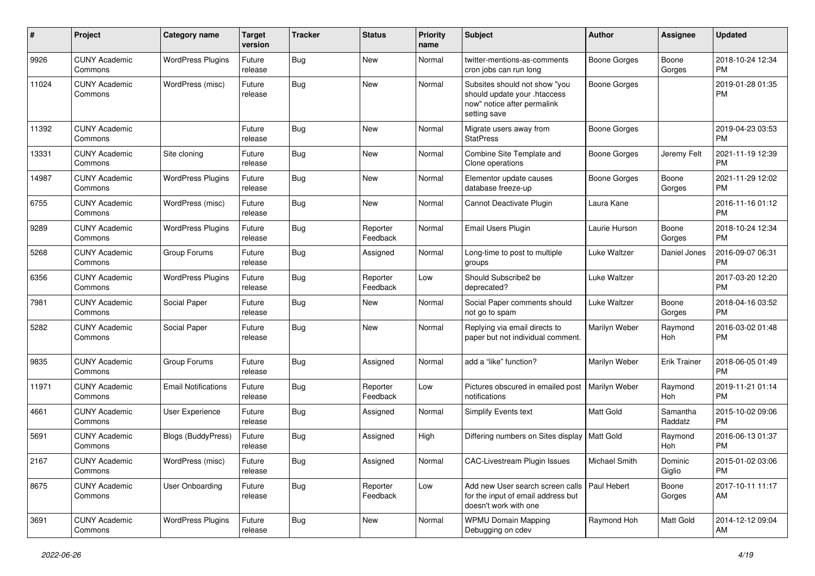| #     | Project                         | <b>Category name</b>       | <b>Target</b><br>version | <b>Tracker</b> | <b>Status</b>        | <b>Priority</b><br>name | <b>Subject</b>                                                                                               | Author              | <b>Assignee</b>     | <b>Updated</b>                |
|-------|---------------------------------|----------------------------|--------------------------|----------------|----------------------|-------------------------|--------------------------------------------------------------------------------------------------------------|---------------------|---------------------|-------------------------------|
| 9926  | <b>CUNY Academic</b><br>Commons | <b>WordPress Plugins</b>   | Future<br>release        | Bug            | New                  | Normal                  | twitter-mentions-as-comments<br>cron jobs can run long                                                       | <b>Boone Gorges</b> | Boone<br>Gorges     | 2018-10-24 12:34<br>PМ        |
| 11024 | <b>CUNY Academic</b><br>Commons | WordPress (misc)           | Future<br>release        | Bug            | New                  | Normal                  | Subsites should not show "you<br>should update your .htaccess<br>now" notice after permalink<br>setting save | <b>Boone Gorges</b> |                     | 2019-01-28 01:35<br><b>PM</b> |
| 11392 | <b>CUNY Academic</b><br>Commons |                            | Future<br>release        | <b>Bug</b>     | <b>New</b>           | Normal                  | Migrate users away from<br><b>StatPress</b>                                                                  | <b>Boone Gorges</b> |                     | 2019-04-23 03:53<br><b>PM</b> |
| 13331 | <b>CUNY Academic</b><br>Commons | Site cloning               | Future<br>release        | Bug            | New                  | Normal                  | Combine Site Template and<br>Clone operations                                                                | Boone Gorges        | Jeremy Felt         | 2021-11-19 12:39<br><b>PM</b> |
| 14987 | <b>CUNY Academic</b><br>Commons | <b>WordPress Plugins</b>   | Future<br>release        | Bug            | New                  | Normal                  | Elementor update causes<br>database freeze-up                                                                | <b>Boone Gorges</b> | Boone<br>Gorges     | 2021-11-29 12:02<br><b>PM</b> |
| 6755  | <b>CUNY Academic</b><br>Commons | WordPress (misc)           | Future<br>release        | Bug            | New                  | Normal                  | Cannot Deactivate Plugin                                                                                     | Laura Kane          |                     | 2016-11-16 01:12<br><b>PM</b> |
| 9289  | <b>CUNY Academic</b><br>Commons | <b>WordPress Plugins</b>   | Future<br>release        | Bug            | Reporter<br>Feedback | Normal                  | Email Users Plugin                                                                                           | Laurie Hurson       | Boone<br>Gorges     | 2018-10-24 12:34<br><b>PM</b> |
| 5268  | <b>CUNY Academic</b><br>Commons | Group Forums               | Future<br>release        | Bug            | Assigned             | Normal                  | Long-time to post to multiple<br>groups                                                                      | Luke Waltzer        | Daniel Jones        | 2016-09-07 06:31<br><b>PM</b> |
| 6356  | <b>CUNY Academic</b><br>Commons | <b>WordPress Plugins</b>   | Future<br>release        | <b>Bug</b>     | Reporter<br>Feedback | Low                     | Should Subscribe2 be<br>deprecated?                                                                          | Luke Waltzer        |                     | 2017-03-20 12:20<br><b>PM</b> |
| 7981  | <b>CUNY Academic</b><br>Commons | Social Paper               | Future<br>release        | <b>Bug</b>     | New                  | Normal                  | Social Paper comments should<br>not go to spam                                                               | <b>Luke Waltzer</b> | Boone<br>Gorges     | 2018-04-16 03:52<br><b>PM</b> |
| 5282  | <b>CUNY Academic</b><br>Commons | Social Paper               | Future<br>release        | Bug            | New                  | Normal                  | Replying via email directs to<br>paper but not individual comment.                                           | Marilyn Weber       | Raymond<br>Hoh      | 2016-03-02 01:48<br><b>PM</b> |
| 9835  | <b>CUNY Academic</b><br>Commons | Group Forums               | Future<br>release        | Bug            | Assigned             | Normal                  | add a "like" function?                                                                                       | Marilyn Weber       | <b>Erik Trainer</b> | 2018-06-05 01:49<br><b>PM</b> |
| 11971 | <b>CUNY Academic</b><br>Commons | <b>Email Notifications</b> | Future<br>release        | <b>Bug</b>     | Reporter<br>Feedback | Low                     | Pictures obscured in emailed post<br>notifications                                                           | Marilyn Weber       | Raymond<br>Hoh      | 2019-11-21 01:14<br><b>PM</b> |
| 4661  | <b>CUNY Academic</b><br>Commons | User Experience            | Future<br>release        | <b>Bug</b>     | Assigned             | Normal                  | Simplify Events text                                                                                         | Matt Gold           | Samantha<br>Raddatz | 2015-10-02 09:06<br><b>PM</b> |
| 5691  | <b>CUNY Academic</b><br>Commons | Blogs (BuddyPress)         | Future<br>release        | <b>Bug</b>     | Assigned             | High                    | Differing numbers on Sites display                                                                           | <b>Matt Gold</b>    | Raymond<br>Hoh      | 2016-06-13 01:37<br><b>PM</b> |
| 2167  | <b>CUNY Academic</b><br>Commons | WordPress (misc)           | Future<br>release        | <b>Bug</b>     | Assigned             | Normal                  | CAC-Livestream Plugin Issues                                                                                 | Michael Smith       | Dominic<br>Giglio   | 2015-01-02 03:06<br><b>PM</b> |
| 8675  | <b>CUNY Academic</b><br>Commons | User Onboarding            | Future<br>release        | Bug            | Reporter<br>Feedback | Low                     | Add new User search screen calls<br>for the input of email address but<br>doesn't work with one              | Paul Hebert         | Boone<br>Gorges     | 2017-10-11 11:17<br>AM        |
| 3691  | <b>CUNY Academic</b><br>Commons | <b>WordPress Plugins</b>   | Future<br>release        | Bug            | New                  | Normal                  | <b>WPMU Domain Mapping</b><br>Debugging on cdev                                                              | Raymond Hoh         | Matt Gold           | 2014-12-12 09:04<br>AM        |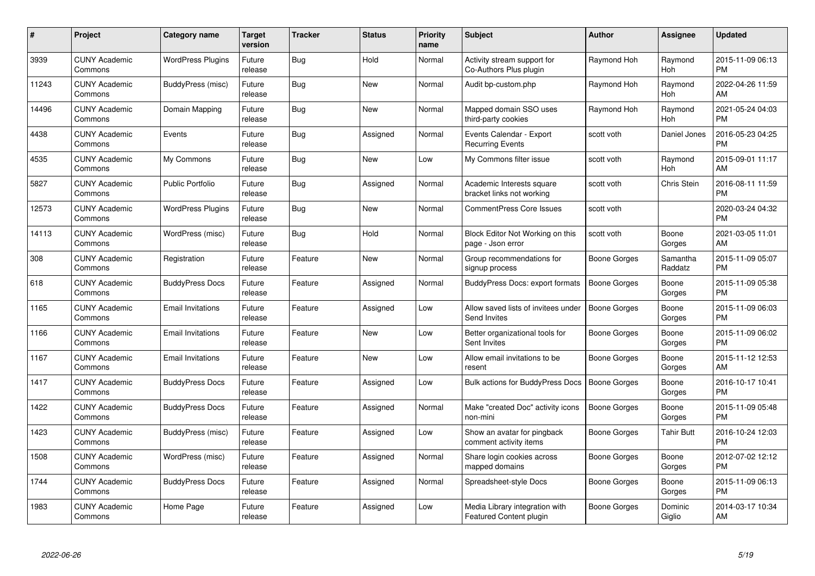| $\#$  | Project                         | <b>Category name</b>     | <b>Target</b><br>version | <b>Tracker</b> | <b>Status</b> | <b>Priority</b><br>name | <b>Subject</b>                                            | Author              | <b>Assignee</b>       | <b>Updated</b>                |
|-------|---------------------------------|--------------------------|--------------------------|----------------|---------------|-------------------------|-----------------------------------------------------------|---------------------|-----------------------|-------------------------------|
| 3939  | <b>CUNY Academic</b><br>Commons | <b>WordPress Plugins</b> | Future<br>release        | <b>Bug</b>     | Hold          | Normal                  | Activity stream support for<br>Co-Authors Plus plugin     | Raymond Hoh         | Raymond<br><b>Hoh</b> | 2015-11-09 06:13<br><b>PM</b> |
| 11243 | <b>CUNY Academic</b><br>Commons | BuddyPress (misc)        | Future<br>release        | Bug            | New           | Normal                  | Audit bp-custom.php                                       | Raymond Hoh         | Raymond<br><b>Hoh</b> | 2022-04-26 11:59<br>AM        |
| 14496 | <b>CUNY Academic</b><br>Commons | Domain Mapping           | Future<br>release        | <b>Bug</b>     | <b>New</b>    | Normal                  | Mapped domain SSO uses<br>third-party cookies             | Raymond Hoh         | Raymond<br>Hoh        | 2021-05-24 04:03<br><b>PM</b> |
| 4438  | <b>CUNY Academic</b><br>Commons | Events                   | Future<br>release        | <b>Bug</b>     | Assigned      | Normal                  | Events Calendar - Export<br><b>Recurring Events</b>       | scott voth          | Daniel Jones          | 2016-05-23 04:25<br><b>PM</b> |
| 4535  | <b>CUNY Academic</b><br>Commons | My Commons               | Future<br>release        | Bug            | <b>New</b>    | Low                     | My Commons filter issue                                   | scott voth          | Raymond<br><b>Hoh</b> | 2015-09-01 11:17<br>AM        |
| 5827  | <b>CUNY Academic</b><br>Commons | <b>Public Portfolio</b>  | Future<br>release        | <b>Bug</b>     | Assigned      | Normal                  | Academic Interests square<br>bracket links not working    | scott voth          | Chris Stein           | 2016-08-11 11:59<br><b>PM</b> |
| 12573 | <b>CUNY Academic</b><br>Commons | <b>WordPress Plugins</b> | Future<br>release        | <b>Bug</b>     | <b>New</b>    | Normal                  | <b>CommentPress Core Issues</b>                           | scott voth          |                       | 2020-03-24 04:32<br><b>PM</b> |
| 14113 | <b>CUNY Academic</b><br>Commons | WordPress (misc)         | Future<br>release        | <b>Bug</b>     | Hold          | Normal                  | Block Editor Not Working on this<br>page - Json error     | scott voth          | Boone<br>Gorges       | 2021-03-05 11:01<br>AM        |
| 308   | <b>CUNY Academic</b><br>Commons | Registration             | Future<br>release        | Feature        | <b>New</b>    | Normal                  | Group recommendations for<br>signup process               | Boone Gorges        | Samantha<br>Raddatz   | 2015-11-09 05:07<br><b>PM</b> |
| 618   | <b>CUNY Academic</b><br>Commons | <b>BuddyPress Docs</b>   | Future<br>release        | Feature        | Assigned      | Normal                  | BuddyPress Docs: export formats                           | <b>Boone Gorges</b> | Boone<br>Gorges       | 2015-11-09 05:38<br><b>PM</b> |
| 1165  | <b>CUNY Academic</b><br>Commons | <b>Email Invitations</b> | Future<br>release        | Feature        | Assigned      | Low                     | Allow saved lists of invitees under<br>Send Invites       | Boone Gorges        | Boone<br>Gorges       | 2015-11-09 06:03<br><b>PM</b> |
| 1166  | <b>CUNY Academic</b><br>Commons | <b>Email Invitations</b> | Future<br>release        | Feature        | <b>New</b>    | Low                     | Better organizational tools for<br>Sent Invites           | Boone Gorges        | Boone<br>Gorges       | 2015-11-09 06:02<br><b>PM</b> |
| 1167  | <b>CUNY Academic</b><br>Commons | <b>Email Invitations</b> | Future<br>release        | Feature        | <b>New</b>    | Low                     | Allow email invitations to be<br>resent                   | Boone Gorges        | Boone<br>Gorges       | 2015-11-12 12:53<br>AM        |
| 1417  | <b>CUNY Academic</b><br>Commons | <b>BuddyPress Docs</b>   | Future<br>release        | Feature        | Assigned      | Low                     | Bulk actions for BuddyPress Docs                          | Boone Gorges        | Boone<br>Gorges       | 2016-10-17 10:41<br><b>PM</b> |
| 1422  | <b>CUNY Academic</b><br>Commons | <b>BuddyPress Docs</b>   | Future<br>release        | Feature        | Assigned      | Normal                  | Make "created Doc" activity icons<br>non-mini             | <b>Boone Gorges</b> | Boone<br>Gorges       | 2015-11-09 05:48<br><b>PM</b> |
| 1423  | <b>CUNY Academic</b><br>Commons | BuddyPress (misc)        | Future<br>release        | Feature        | Assigned      | Low                     | Show an avatar for pingback<br>comment activity items     | Boone Gorges        | <b>Tahir Butt</b>     | 2016-10-24 12:03<br><b>PM</b> |
| 1508  | <b>CUNY Academic</b><br>Commons | WordPress (misc)         | Future<br>release        | Feature        | Assigned      | Normal                  | Share login cookies across<br>mapped domains              | Boone Gorges        | Boone<br>Gorges       | 2012-07-02 12:12<br><b>PM</b> |
| 1744  | <b>CUNY Academic</b><br>Commons | <b>BuddyPress Docs</b>   | Future<br>release        | Feature        | Assigned      | Normal                  | Spreadsheet-style Docs                                    | Boone Gorges        | Boone<br>Gorges       | 2015-11-09 06:13<br><b>PM</b> |
| 1983  | <b>CUNY Academic</b><br>Commons | Home Page                | Future<br>release        | Feature        | Assigned      | Low                     | Media Library integration with<br>Featured Content plugin | Boone Gorges        | Dominic<br>Giglio     | 2014-03-17 10:34<br>AM        |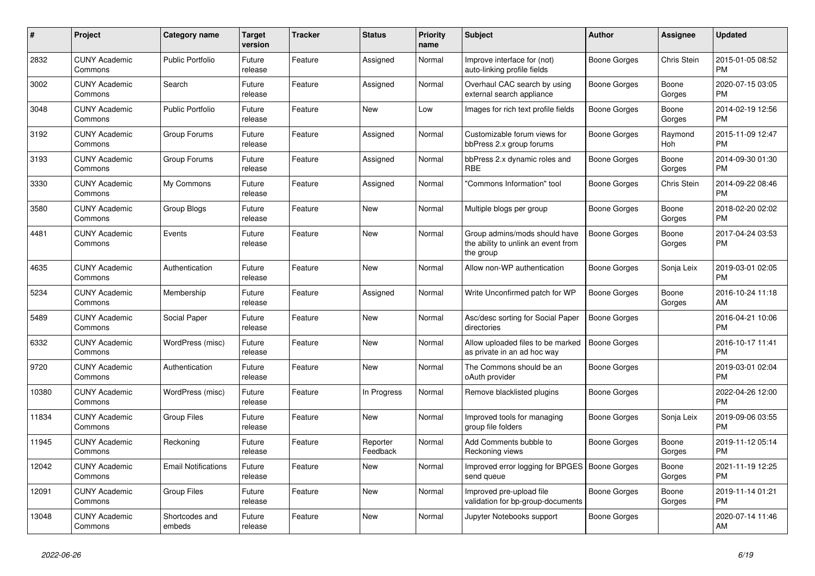| #     | <b>Project</b>                  | <b>Category name</b>       | <b>Target</b><br>version | <b>Tracker</b> | <b>Status</b>        | <b>Priority</b><br>name | <b>Subject</b>                                                                    | <b>Author</b>       | Assignee        | <b>Updated</b>                |
|-------|---------------------------------|----------------------------|--------------------------|----------------|----------------------|-------------------------|-----------------------------------------------------------------------------------|---------------------|-----------------|-------------------------------|
| 2832  | <b>CUNY Academic</b><br>Commons | <b>Public Portfolio</b>    | Future<br>release        | Feature        | Assigned             | Normal                  | Improve interface for (not)<br>auto-linking profile fields                        | Boone Gorges        | Chris Stein     | 2015-01-05 08:52<br><b>PM</b> |
| 3002  | <b>CUNY Academic</b><br>Commons | Search                     | Future<br>release        | Feature        | Assigned             | Normal                  | Overhaul CAC search by using<br>external search appliance                         | Boone Gorges        | Boone<br>Gorges | 2020-07-15 03:05<br><b>PM</b> |
| 3048  | <b>CUNY Academic</b><br>Commons | <b>Public Portfolio</b>    | Future<br>release        | Feature        | <b>New</b>           | Low                     | Images for rich text profile fields                                               | Boone Gorges        | Boone<br>Gorges | 2014-02-19 12:56<br><b>PM</b> |
| 3192  | <b>CUNY Academic</b><br>Commons | Group Forums               | Future<br>release        | Feature        | Assigned             | Normal                  | Customizable forum views for<br>bbPress 2.x group forums                          | Boone Gorges        | Raymond<br>Hoh  | 2015-11-09 12:47<br><b>PM</b> |
| 3193  | <b>CUNY Academic</b><br>Commons | Group Forums               | Future<br>release        | Feature        | Assigned             | Normal                  | bbPress 2.x dynamic roles and<br><b>RBE</b>                                       | Boone Gorges        | Boone<br>Gorges | 2014-09-30 01:30<br><b>PM</b> |
| 3330  | <b>CUNY Academic</b><br>Commons | My Commons                 | Future<br>release        | Feature        | Assigned             | Normal                  | "Commons Information" tool                                                        | Boone Gorges        | Chris Stein     | 2014-09-22 08:46<br><b>PM</b> |
| 3580  | <b>CUNY Academic</b><br>Commons | Group Blogs                | Future<br>release        | Feature        | <b>New</b>           | Normal                  | Multiple blogs per group                                                          | Boone Gorges        | Boone<br>Gorges | 2018-02-20 02:02<br><b>PM</b> |
| 4481  | <b>CUNY Academic</b><br>Commons | Events                     | Future<br>release        | Feature        | <b>New</b>           | Normal                  | Group admins/mods should have<br>the ability to unlink an event from<br>the group | <b>Boone Gorges</b> | Boone<br>Gorges | 2017-04-24 03:53<br><b>PM</b> |
| 4635  | <b>CUNY Academic</b><br>Commons | Authentication             | Future<br>release        | Feature        | New                  | Normal                  | Allow non-WP authentication                                                       | Boone Gorges        | Sonja Leix      | 2019-03-01 02:05<br><b>PM</b> |
| 5234  | <b>CUNY Academic</b><br>Commons | Membership                 | Future<br>release        | Feature        | Assigned             | Normal                  | Write Unconfirmed patch for WP                                                    | Boone Gorges        | Boone<br>Gorges | 2016-10-24 11:18<br>AM        |
| 5489  | <b>CUNY Academic</b><br>Commons | Social Paper               | Future<br>release        | Feature        | <b>New</b>           | Normal                  | Asc/desc sorting for Social Paper<br>directories                                  | Boone Gorges        |                 | 2016-04-21 10:06<br><b>PM</b> |
| 6332  | <b>CUNY Academic</b><br>Commons | WordPress (misc)           | Future<br>release        | Feature        | New                  | Normal                  | Allow uploaded files to be marked<br>as private in an ad hoc way                  | <b>Boone Gorges</b> |                 | 2016-10-17 11:41<br><b>PM</b> |
| 9720  | <b>CUNY Academic</b><br>Commons | Authentication             | Future<br>release        | Feature        | <b>New</b>           | Normal                  | The Commons should be an<br>oAuth provider                                        | Boone Gorges        |                 | 2019-03-01 02:04<br><b>PM</b> |
| 10380 | <b>CUNY Academic</b><br>Commons | WordPress (misc)           | Future<br>release        | Feature        | In Progress          | Normal                  | Remove blacklisted plugins                                                        | Boone Gorges        |                 | 2022-04-26 12:00<br><b>PM</b> |
| 11834 | <b>CUNY Academic</b><br>Commons | <b>Group Files</b>         | Future<br>release        | Feature        | New                  | Normal                  | Improved tools for managing<br>group file folders                                 | Boone Gorges        | Sonja Leix      | 2019-09-06 03:55<br><b>PM</b> |
| 11945 | <b>CUNY Academic</b><br>Commons | Reckoning                  | Future<br>release        | Feature        | Reporter<br>Feedback | Normal                  | Add Comments bubble to<br>Reckoning views                                         | Boone Gorges        | Boone<br>Gorges | 2019-11-12 05:14<br><b>PM</b> |
| 12042 | <b>CUNY Academic</b><br>Commons | <b>Email Notifications</b> | Future<br>release        | Feature        | <b>New</b>           | Normal                  | Improved error logging for BPGES   Boone Gorges<br>send queue                     |                     | Boone<br>Gorges | 2021-11-19 12:25<br><b>PM</b> |
| 12091 | <b>CUNY Academic</b><br>Commons | <b>Group Files</b>         | Future<br>release        | Feature        | New                  | Normal                  | Improved pre-upload file<br>validation for bp-group-documents                     | Boone Gorges        | Boone<br>Gorges | 2019-11-14 01:21<br><b>PM</b> |
| 13048 | <b>CUNY Academic</b><br>Commons | Shortcodes and<br>embeds   | Future<br>release        | Feature        | <b>New</b>           | Normal                  | Jupyter Notebooks support                                                         | Boone Gorges        |                 | 2020-07-14 11:46<br>AM        |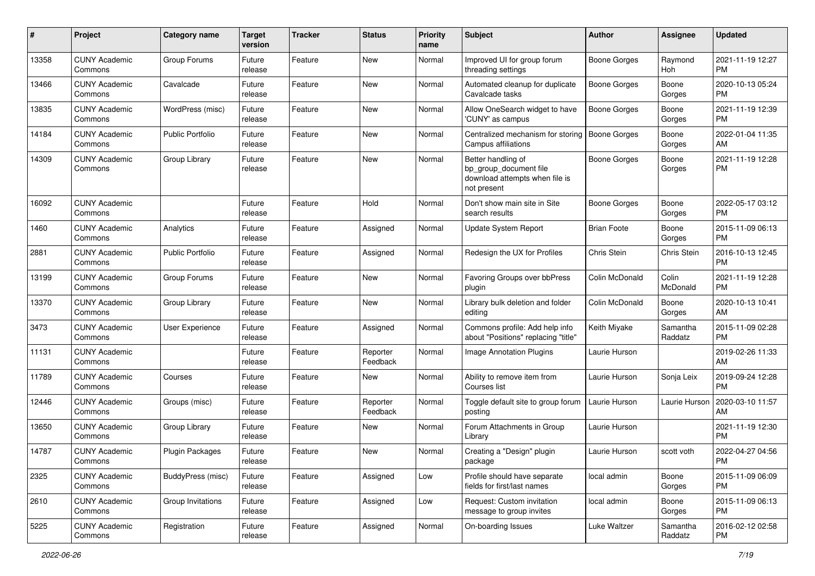| #     | Project                         | <b>Category name</b>    | Target<br>version | Tracker | <b>Status</b>        | <b>Priority</b><br>name | Subject                                                                                       | Author              | Assignee            | <b>Updated</b>                |
|-------|---------------------------------|-------------------------|-------------------|---------|----------------------|-------------------------|-----------------------------------------------------------------------------------------------|---------------------|---------------------|-------------------------------|
| 13358 | <b>CUNY Academic</b><br>Commons | Group Forums            | Future<br>release | Feature | New                  | Normal                  | Improved UI for group forum<br>threading settings                                             | <b>Boone Gorges</b> | Raymond<br>Hoh      | 2021-11-19 12:27<br><b>PM</b> |
| 13466 | <b>CUNY Academic</b><br>Commons | Cavalcade               | Future<br>release | Feature | New                  | Normal                  | Automated cleanup for duplicate<br>Cavalcade tasks                                            | <b>Boone Gorges</b> | Boone<br>Gorges     | 2020-10-13 05:24<br><b>PM</b> |
| 13835 | <b>CUNY Academic</b><br>Commons | WordPress (misc)        | Future<br>release | Feature | New                  | Normal                  | Allow OneSearch widget to have<br>'CUNY' as campus                                            | <b>Boone Gorges</b> | Boone<br>Gorges     | 2021-11-19 12:39<br><b>PM</b> |
| 14184 | <b>CUNY Academic</b><br>Commons | <b>Public Portfolio</b> | Future<br>release | Feature | <b>New</b>           | Normal                  | Centralized mechanism for storing<br>Campus affiliations                                      | <b>Boone Gorges</b> | Boone<br>Gorges     | 2022-01-04 11:35<br>AM        |
| 14309 | <b>CUNY Academic</b><br>Commons | Group Library           | Future<br>release | Feature | New                  | Normal                  | Better handling of<br>bp_group_document file<br>download attempts when file is<br>not present | Boone Gorges        | Boone<br>Gorges     | 2021-11-19 12:28<br><b>PM</b> |
| 16092 | <b>CUNY Academic</b><br>Commons |                         | Future<br>release | Feature | Hold                 | Normal                  | Don't show main site in Site<br>search results                                                | Boone Gorges        | Boone<br>Gorges     | 2022-05-17 03:12<br>PM        |
| 1460  | <b>CUNY Academic</b><br>Commons | Analytics               | Future<br>release | Feature | Assigned             | Normal                  | Update System Report                                                                          | <b>Brian Foote</b>  | Boone<br>Gorges     | 2015-11-09 06:13<br><b>PM</b> |
| 2881  | <b>CUNY Academic</b><br>Commons | <b>Public Portfolio</b> | Future<br>release | Feature | Assigned             | Normal                  | Redesign the UX for Profiles                                                                  | Chris Stein         | Chris Stein         | 2016-10-13 12:45<br><b>PM</b> |
| 13199 | <b>CUNY Academic</b><br>Commons | Group Forums            | Future<br>release | Feature | New                  | Normal                  | Favoring Groups over bbPress<br>plugin                                                        | Colin McDonald      | Colin<br>McDonald   | 2021-11-19 12:28<br><b>PM</b> |
| 13370 | <b>CUNY Academic</b><br>Commons | Group Library           | Future<br>release | Feature | New                  | Normal                  | Library bulk deletion and folder<br>editing                                                   | Colin McDonald      | Boone<br>Gorges     | 2020-10-13 10:41<br>AM        |
| 3473  | <b>CUNY Academic</b><br>Commons | User Experience         | Future<br>release | Feature | Assigned             | Normal                  | Commons profile: Add help info<br>about "Positions" replacing "title"                         | Keith Miyake        | Samantha<br>Raddatz | 2015-11-09 02:28<br><b>PM</b> |
| 11131 | <b>CUNY Academic</b><br>Commons |                         | Future<br>release | Feature | Reporter<br>Feedback | Normal                  | <b>Image Annotation Plugins</b>                                                               | Laurie Hurson       |                     | 2019-02-26 11:33<br>AM        |
| 11789 | <b>CUNY Academic</b><br>Commons | Courses                 | Future<br>release | Feature | New                  | Normal                  | Ability to remove item from<br>Courses list                                                   | Laurie Hurson       | Sonja Leix          | 2019-09-24 12:28<br><b>PM</b> |
| 12446 | <b>CUNY Academic</b><br>Commons | Groups (misc)           | Future<br>release | Feature | Reporter<br>Feedback | Normal                  | Toggle default site to group forum<br>posting                                                 | Laurie Hurson       | Laurie Hurson       | 2020-03-10 11:57<br>AM        |
| 13650 | <b>CUNY Academic</b><br>Commons | Group Library           | Future<br>release | Feature | New                  | Normal                  | Forum Attachments in Group<br>Library                                                         | Laurie Hurson       |                     | 2021-11-19 12:30<br><b>PM</b> |
| 14787 | <b>CUNY Academic</b><br>Commons | <b>Plugin Packages</b>  | Future<br>release | Feature | New                  | Normal                  | Creating a "Design" plugin<br>раскаде                                                         | Laurie Hurson       | scott voth          | 2022-04-27 04:56<br>PM        |
| 2325  | <b>CUNY Academic</b><br>Commons | BuddyPress (misc)       | Future<br>release | Feature | Assigned             | Low                     | Profile should have separate<br>fields for first/last names                                   | local admin         | Boone<br>Gorges     | 2015-11-09 06:09<br><b>PM</b> |
| 2610  | <b>CUNY Academic</b><br>Commons | Group Invitations       | Future<br>release | Feature | Assigned             | Low                     | Request: Custom invitation<br>message to group invites                                        | local admin         | Boone<br>Gorges     | 2015-11-09 06:13<br><b>PM</b> |
| 5225  | <b>CUNY Academic</b><br>Commons | Registration            | Future<br>release | Feature | Assigned             | Normal                  | On-boarding Issues                                                                            | Luke Waltzer        | Samantha<br>Raddatz | 2016-02-12 02:58<br><b>PM</b> |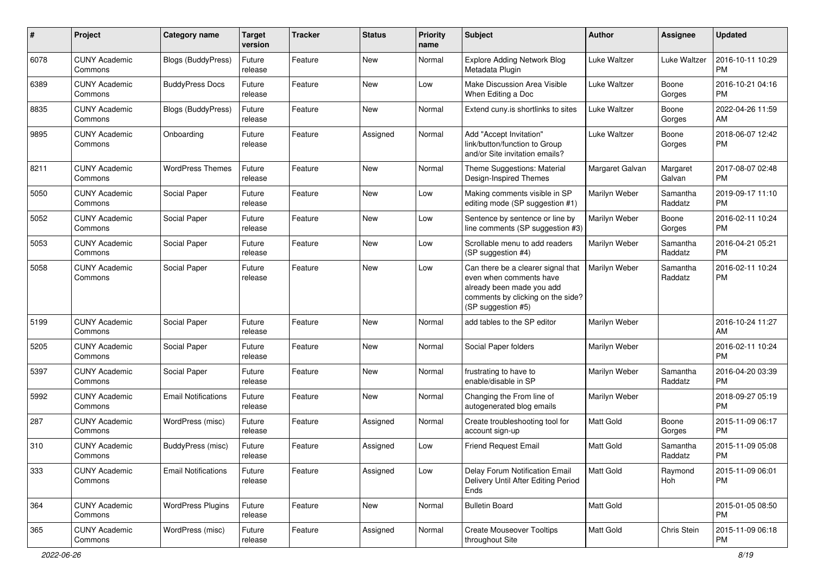| #    | Project                         | <b>Category name</b>       | <b>Target</b><br>version | <b>Tracker</b> | <b>Status</b> | <b>Priority</b><br>name | <b>Subject</b>                                                                                                                                        | Author              | Assignee            | <b>Updated</b>                |
|------|---------------------------------|----------------------------|--------------------------|----------------|---------------|-------------------------|-------------------------------------------------------------------------------------------------------------------------------------------------------|---------------------|---------------------|-------------------------------|
| 6078 | <b>CUNY Academic</b><br>Commons | <b>Blogs (BuddyPress)</b>  | Future<br>release        | Feature        | <b>New</b>    | Normal                  | <b>Explore Adding Network Blog</b><br>Metadata Plugin                                                                                                 | <b>Luke Waltzer</b> | Luke Waltzer        | 2016-10-11 10:29<br><b>PM</b> |
| 6389 | <b>CUNY Academic</b><br>Commons | <b>BuddyPress Docs</b>     | Future<br>release        | Feature        | New           | Low                     | Make Discussion Area Visible<br>When Editing a Doc                                                                                                    | Luke Waltzer        | Boone<br>Gorges     | 2016-10-21 04:16<br><b>PM</b> |
| 8835 | <b>CUNY Academic</b><br>Commons | <b>Blogs (BuddyPress)</b>  | Future<br>release        | Feature        | New           | Normal                  | Extend cuny.is shortlinks to sites                                                                                                                    | Luke Waltzer        | Boone<br>Gorges     | 2022-04-26 11:59<br>AM        |
| 9895 | <b>CUNY Academic</b><br>Commons | Onboarding                 | Future<br>release        | Feature        | Assigned      | Normal                  | Add "Accept Invitation"<br>link/button/function to Group<br>and/or Site invitation emails?                                                            | Luke Waltzer        | Boone<br>Gorges     | 2018-06-07 12:42<br><b>PM</b> |
| 8211 | <b>CUNY Academic</b><br>Commons | <b>WordPress Themes</b>    | Future<br>release        | Feature        | <b>New</b>    | Normal                  | Theme Suggestions: Material<br>Design-Inspired Themes                                                                                                 | Margaret Galvan     | Margaret<br>Galvan  | 2017-08-07 02:48<br><b>PM</b> |
| 5050 | <b>CUNY Academic</b><br>Commons | Social Paper               | Future<br>release        | Feature        | <b>New</b>    | Low                     | Making comments visible in SP<br>editing mode (SP suggestion #1)                                                                                      | Marilyn Weber       | Samantha<br>Raddatz | 2019-09-17 11:10<br><b>PM</b> |
| 5052 | <b>CUNY Academic</b><br>Commons | Social Paper               | Future<br>release        | Feature        | New           | Low                     | Sentence by sentence or line by<br>line comments (SP suggestion #3)                                                                                   | Marilyn Weber       | Boone<br>Gorges     | 2016-02-11 10:24<br><b>PM</b> |
| 5053 | <b>CUNY Academic</b><br>Commons | Social Paper               | Future<br>release        | Feature        | New           | Low                     | Scrollable menu to add readers<br>(SP suggestion #4)                                                                                                  | Marilyn Weber       | Samantha<br>Raddatz | 2016-04-21 05:21<br><b>PM</b> |
| 5058 | <b>CUNY Academic</b><br>Commons | Social Paper               | Future<br>release        | Feature        | <b>New</b>    | Low                     | Can there be a clearer signal that<br>even when comments have<br>already been made you add<br>comments by clicking on the side?<br>(SP suggestion #5) | Marilyn Weber       | Samantha<br>Raddatz | 2016-02-11 10:24<br><b>PM</b> |
| 5199 | <b>CUNY Academic</b><br>Commons | Social Paper               | Future<br>release        | Feature        | <b>New</b>    | Normal                  | add tables to the SP editor                                                                                                                           | Marilyn Weber       |                     | 2016-10-24 11:27<br>AM        |
| 5205 | <b>CUNY Academic</b><br>Commons | Social Paper               | Future<br>release        | Feature        | <b>New</b>    | Normal                  | Social Paper folders                                                                                                                                  | Marilyn Weber       |                     | 2016-02-11 10:24<br><b>PM</b> |
| 5397 | <b>CUNY Academic</b><br>Commons | Social Paper               | Future<br>release        | Feature        | New           | Normal                  | frustrating to have to<br>enable/disable in SP                                                                                                        | Marilyn Weber       | Samantha<br>Raddatz | 2016-04-20 03:39<br><b>PM</b> |
| 5992 | <b>CUNY Academic</b><br>Commons | <b>Email Notifications</b> | Future<br>release        | Feature        | New           | Normal                  | Changing the From line of<br>autogenerated blog emails                                                                                                | Marilyn Weber       |                     | 2018-09-27 05:19<br><b>PM</b> |
| 287  | <b>CUNY Academic</b><br>Commons | WordPress (misc)           | Future<br>release        | Feature        | Assigned      | Normal                  | Create troubleshooting tool for<br>account sign-up                                                                                                    | Matt Gold           | Boone<br>Gorges     | 2015-11-09 06:17<br><b>PM</b> |
| 310  | <b>CUNY Academic</b><br>Commons | BuddyPress (misc)          | Future<br>release        | Feature        | Assigned      | Low                     | <b>Friend Request Email</b>                                                                                                                           | <b>Matt Gold</b>    | Samantha<br>Raddatz | 2015-11-09 05:08<br><b>PM</b> |
| 333  | <b>CUNY Academic</b><br>Commons | <b>Email Notifications</b> | Future<br>release        | Feature        | Assigned      | Low                     | Delay Forum Notification Email<br>Delivery Until After Editing Period<br>Ends                                                                         | Matt Gold           | Raymond<br>Hoh      | 2015-11-09 06:01<br><b>PM</b> |
| 364  | <b>CUNY Academic</b><br>Commons | <b>WordPress Plugins</b>   | Future<br>release        | Feature        | New           | Normal                  | <b>Bulletin Board</b>                                                                                                                                 | Matt Gold           |                     | 2015-01-05 08:50<br><b>PM</b> |
| 365  | <b>CUNY Academic</b><br>Commons | WordPress (misc)           | Future<br>release        | Feature        | Assigned      | Normal                  | <b>Create Mouseover Tooltips</b><br>throughout Site                                                                                                   | Matt Gold           | Chris Stein         | 2015-11-09 06:18<br>PM        |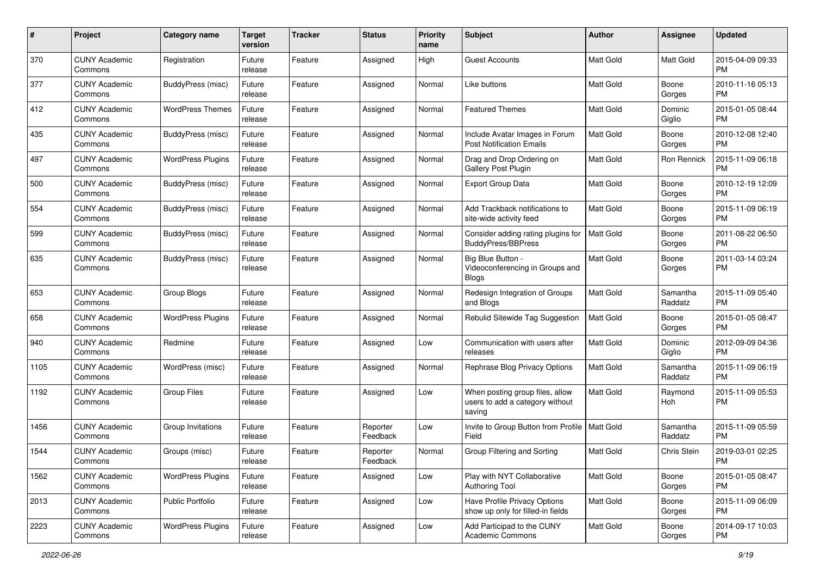| #    | Project                         | <b>Category name</b>     | <b>Target</b><br>version | <b>Tracker</b> | <b>Status</b>        | <b>Priority</b><br>name | Subject                                                                      | Author           | <b>Assignee</b>     | <b>Updated</b>                |
|------|---------------------------------|--------------------------|--------------------------|----------------|----------------------|-------------------------|------------------------------------------------------------------------------|------------------|---------------------|-------------------------------|
| 370  | <b>CUNY Academic</b><br>Commons | Registration             | Future<br>release        | Feature        | Assigned             | High                    | Guest Accounts                                                               | <b>Matt Gold</b> | Matt Gold           | 2015-04-09 09:33<br><b>PM</b> |
| 377  | <b>CUNY Academic</b><br>Commons | BuddyPress (misc)        | Future<br>release        | Feature        | Assigned             | Normal                  | Like buttons                                                                 | Matt Gold        | Boone<br>Gorges     | 2010-11-16 05:13<br><b>PM</b> |
| 412  | CUNY Academic<br>Commons        | <b>WordPress Themes</b>  | Future<br>release        | Feature        | Assigned             | Normal                  | <b>Featured Themes</b>                                                       | Matt Gold        | Dominic<br>Giglio   | 2015-01-05 08:44<br><b>PM</b> |
| 435  | <b>CUNY Academic</b><br>Commons | BuddyPress (misc)        | Future<br>release        | Feature        | Assigned             | Normal                  | Include Avatar Images in Forum<br><b>Post Notification Emails</b>            | Matt Gold        | Boone<br>Gorges     | 2010-12-08 12:40<br><b>PM</b> |
| 497  | CUNY Academic<br>Commons        | <b>WordPress Plugins</b> | Future<br>release        | Feature        | Assigned             | Normal                  | Drag and Drop Ordering on<br>Gallery Post Plugin                             | <b>Matt Gold</b> | Ron Rennick         | 2015-11-09 06:18<br><b>PM</b> |
| 500  | <b>CUNY Academic</b><br>Commons | BuddyPress (misc)        | Future<br>release        | Feature        | Assigned             | Normal                  | <b>Export Group Data</b>                                                     | Matt Gold        | Boone<br>Gorges     | 2010-12-19 12:09<br><b>PM</b> |
| 554  | CUNY Academic<br>Commons        | BuddyPress (misc)        | Future<br>release        | Feature        | Assigned             | Normal                  | Add Trackback notifications to<br>site-wide activity feed                    | Matt Gold        | Boone<br>Gorges     | 2015-11-09 06:19<br><b>PM</b> |
| 599  | <b>CUNY Academic</b><br>Commons | BuddyPress (misc)        | Future<br>release        | Feature        | Assigned             | Normal                  | Consider adding rating plugins for<br>BuddyPress/BBPress                     | <b>Matt Gold</b> | Boone<br>Gorges     | 2011-08-22 06:50<br><b>PM</b> |
| 635  | <b>CUNY Academic</b><br>Commons | BuddyPress (misc)        | Future<br>release        | Feature        | Assigned             | Normal                  | Big Blue Button -<br>Videoconferencing in Groups and<br><b>Blogs</b>         | <b>Matt Gold</b> | Boone<br>Gorges     | 2011-03-14 03:24<br><b>PM</b> |
| 653  | CUNY Academic<br>Commons        | Group Blogs              | Future<br>release        | Feature        | Assigned             | Normal                  | Redesign Integration of Groups<br>and Blogs                                  | <b>Matt Gold</b> | Samantha<br>Raddatz | 2015-11-09 05:40<br><b>PM</b> |
| 658  | CUNY Academic<br>Commons        | <b>WordPress Plugins</b> | Future<br>release        | Feature        | Assigned             | Normal                  | Rebulid Sitewide Tag Suggestion                                              | <b>Matt Gold</b> | Boone<br>Gorges     | 2015-01-05 08:47<br><b>PM</b> |
| 940  | CUNY Academic<br>Commons        | Redmine                  | Future<br>release        | Feature        | Assigned             | Low                     | Communication with users after<br>releases                                   | Matt Gold        | Dominic<br>Giglio   | 2012-09-09 04:36<br><b>PM</b> |
| 1105 | <b>CUNY Academic</b><br>Commons | WordPress (misc)         | Future<br>release        | Feature        | Assigned             | Normal                  | Rephrase Blog Privacy Options                                                | Matt Gold        | Samantha<br>Raddatz | 2015-11-09 06:19<br><b>PM</b> |
| 1192 | <b>CUNY Academic</b><br>Commons | <b>Group Files</b>       | Future<br>release        | Feature        | Assigned             | Low                     | When posting group files, allow<br>users to add a category without<br>saving | Matt Gold        | Raymond<br>Hoh      | 2015-11-09 05:53<br><b>PM</b> |
| 1456 | <b>CUNY Academic</b><br>Commons | Group Invitations        | Future<br>release        | Feature        | Reporter<br>Feedback | Low                     | Invite to Group Button from Profile   Matt Gold<br>Field                     |                  | Samantha<br>Raddatz | 2015-11-09 05:59<br><b>PM</b> |
| 1544 | <b>CUNY Academic</b><br>Commons | Groups (misc)            | Future<br>release        | Feature        | Reporter<br>Feedback | Normal                  | Group Filtering and Sorting                                                  | Matt Gold        | Chris Stein         | 2019-03-01 02:25<br>PM        |
| 1562 | <b>CUNY Academic</b><br>Commons | <b>WordPress Plugins</b> | Future<br>release        | Feature        | Assigned             | Low                     | Play with NYT Collaborative<br><b>Authoring Tool</b>                         | Matt Gold        | Boone<br>Gorges     | 2015-01-05 08:47<br><b>PM</b> |
| 2013 | <b>CUNY Academic</b><br>Commons | Public Portfolio         | Future<br>release        | Feature        | Assigned             | Low                     | Have Profile Privacy Options<br>show up only for filled-in fields            | Matt Gold        | Boone<br>Gorges     | 2015-11-09 06:09<br><b>PM</b> |
| 2223 | <b>CUNY Academic</b><br>Commons | <b>WordPress Plugins</b> | Future<br>release        | Feature        | Assigned             | Low                     | Add Participad to the CUNY<br>Academic Commons                               | Matt Gold        | Boone<br>Gorges     | 2014-09-17 10:03<br><b>PM</b> |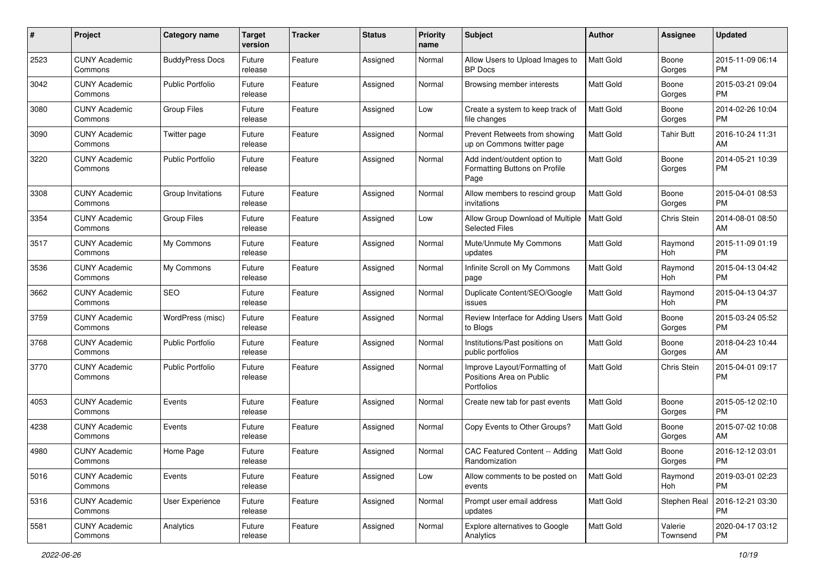| #    | Project                         | <b>Category name</b>    | <b>Target</b><br>version | <b>Tracker</b> | <b>Status</b> | <b>Priority</b><br>name | Subject                                                                | Author           | Assignee            | <b>Updated</b>                |
|------|---------------------------------|-------------------------|--------------------------|----------------|---------------|-------------------------|------------------------------------------------------------------------|------------------|---------------------|-------------------------------|
| 2523 | <b>CUNY Academic</b><br>Commons | <b>BuddyPress Docs</b>  | Future<br>release        | Feature        | Assigned      | Normal                  | Allow Users to Upload Images to<br><b>BP</b> Docs                      | <b>Matt Gold</b> | Boone<br>Gorges     | 2015-11-09 06:14<br><b>PM</b> |
| 3042 | <b>CUNY Academic</b><br>Commons | Public Portfolio        | Future<br>release        | Feature        | Assigned      | Normal                  | Browsing member interests                                              | Matt Gold        | Boone<br>Gorges     | 2015-03-21 09:04<br><b>PM</b> |
| 3080 | <b>CUNY Academic</b><br>Commons | <b>Group Files</b>      | Future<br>release        | Feature        | Assigned      | Low                     | Create a system to keep track of<br>file changes                       | <b>Matt Gold</b> | Boone<br>Gorges     | 2014-02-26 10:04<br><b>PM</b> |
| 3090 | <b>CUNY Academic</b><br>Commons | Twitter page            | Future<br>release        | Feature        | Assigned      | Normal                  | Prevent Retweets from showing<br>up on Commons twitter page            | <b>Matt Gold</b> | <b>Tahir Butt</b>   | 2016-10-24 11:31<br>AM        |
| 3220 | <b>CUNY Academic</b><br>Commons | <b>Public Portfolio</b> | Future<br>release        | Feature        | Assigned      | Normal                  | Add indent/outdent option to<br>Formatting Buttons on Profile<br>Page  | <b>Matt Gold</b> | Boone<br>Gorges     | 2014-05-21 10:39<br><b>PM</b> |
| 3308 | <b>CUNY Academic</b><br>Commons | Group Invitations       | Future<br>release        | Feature        | Assigned      | Normal                  | Allow members to rescind group<br>invitations                          | <b>Matt Gold</b> | Boone<br>Gorges     | 2015-04-01 08:53<br><b>PM</b> |
| 3354 | <b>CUNY Academic</b><br>Commons | <b>Group Files</b>      | Future<br>release        | Feature        | Assigned      | Low                     | Allow Group Download of Multiple   Matt Gold<br><b>Selected Files</b>  |                  | Chris Stein         | 2014-08-01 08:50<br>AM        |
| 3517 | <b>CUNY Academic</b><br>Commons | My Commons              | Future<br>release        | Feature        | Assigned      | Normal                  | Mute/Unmute My Commons<br>updates                                      | <b>Matt Gold</b> | Raymond<br>Hoh      | 2015-11-09 01:19<br><b>PM</b> |
| 3536 | <b>CUNY Academic</b><br>Commons | My Commons              | Future<br>release        | Feature        | Assigned      | Normal                  | Infinite Scroll on My Commons<br>page                                  | <b>Matt Gold</b> | Raymond<br>Hoh      | 2015-04-13 04:42<br><b>PM</b> |
| 3662 | <b>CUNY Academic</b><br>Commons | <b>SEO</b>              | Future<br>release        | Feature        | Assigned      | Normal                  | Duplicate Content/SEO/Google<br>issues                                 | <b>Matt Gold</b> | Raymond<br>Hoh      | 2015-04-13 04:37<br><b>PM</b> |
| 3759 | <b>CUNY Academic</b><br>Commons | WordPress (misc)        | Future<br>release        | Feature        | Assigned      | Normal                  | Review Interface for Adding Users   Matt Gold<br>to Blogs              |                  | Boone<br>Gorges     | 2015-03-24 05:52<br><b>PM</b> |
| 3768 | <b>CUNY Academic</b><br>Commons | <b>Public Portfolio</b> | Future<br>release        | Feature        | Assigned      | Normal                  | Institutions/Past positions on<br>public portfolios                    | <b>Matt Gold</b> | Boone<br>Gorges     | 2018-04-23 10:44<br>AM        |
| 3770 | <b>CUNY Academic</b><br>Commons | <b>Public Portfolio</b> | Future<br>release        | Feature        | Assigned      | Normal                  | Improve Layout/Formatting of<br>Positions Area on Public<br>Portfolios | <b>Matt Gold</b> | Chris Stein         | 2015-04-01 09:17<br><b>PM</b> |
| 4053 | <b>CUNY Academic</b><br>Commons | Events                  | Future<br>release        | Feature        | Assigned      | Normal                  | Create new tab for past events                                         | Matt Gold        | Boone<br>Gorges     | 2015-05-12 02:10<br><b>PM</b> |
| 4238 | <b>CUNY Academic</b><br>Commons | Events                  | Future<br>release        | Feature        | Assigned      | Normal                  | Copy Events to Other Groups?                                           | Matt Gold        | Boone<br>Gorges     | 2015-07-02 10:08<br>AM        |
| 4980 | <b>CUNY Academic</b><br>Commons | Home Page               | Future<br>release        | Feature        | Assigned      | Normal                  | CAC Featured Content -- Adding<br>Randomization                        | <b>Matt Gold</b> | Boone<br>Gorges     | 2016-12-12 03:01<br><b>PM</b> |
| 5016 | <b>CUNY Academic</b><br>Commons | Events                  | Future<br>release        | Feature        | Assigned      | Low                     | Allow comments to be posted on<br>events                               | Matt Gold        | Raymond<br>Hoh      | 2019-03-01 02:23<br>PM        |
| 5316 | <b>CUNY Academic</b><br>Commons | User Experience         | Future<br>release        | Feature        | Assigned      | Normal                  | Prompt user email address<br>updates                                   | Matt Gold        | Stephen Real        | 2016-12-21 03:30<br><b>PM</b> |
| 5581 | <b>CUNY Academic</b><br>Commons | Analytics               | Future<br>release        | Feature        | Assigned      | Normal                  | Explore alternatives to Google<br>Analytics                            | <b>Matt Gold</b> | Valerie<br>Townsend | 2020-04-17 03:12<br><b>PM</b> |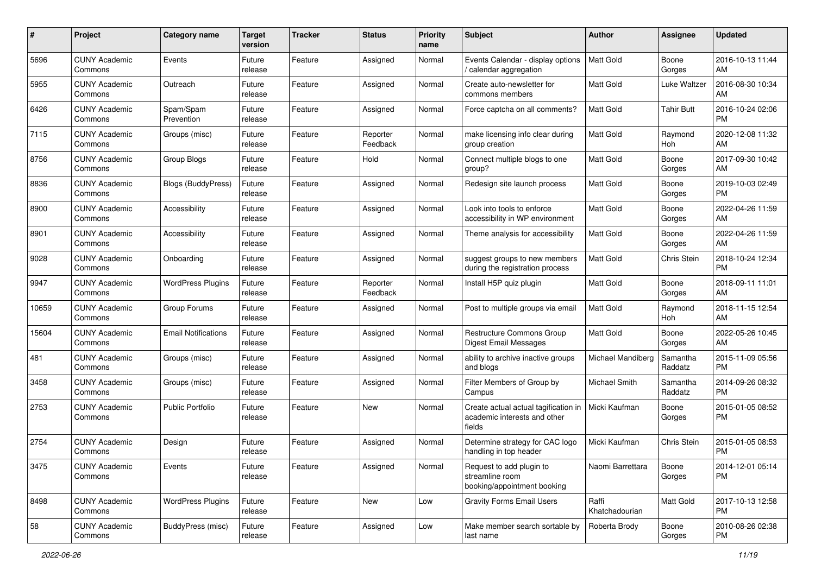| #     | Project                         | <b>Category name</b>       | <b>Target</b><br>version | <b>Tracker</b> | <b>Status</b>        | <b>Priority</b><br>name | <b>Subject</b>                                                                 | Author                  | <b>Assignee</b>     | <b>Updated</b>                |
|-------|---------------------------------|----------------------------|--------------------------|----------------|----------------------|-------------------------|--------------------------------------------------------------------------------|-------------------------|---------------------|-------------------------------|
| 5696  | <b>CUNY Academic</b><br>Commons | Events                     | Future<br>release        | Feature        | Assigned             | Normal                  | Events Calendar - display options<br>/ calendar aggregation                    | <b>Matt Gold</b>        | Boone<br>Gorges     | 2016-10-13 11:44<br>AM        |
| 5955  | <b>CUNY Academic</b><br>Commons | Outreach                   | Future<br>release        | Feature        | Assigned             | Normal                  | Create auto-newsletter for<br>commons members                                  | <b>Matt Gold</b>        | Luke Waltzer        | 2016-08-30 10:34<br>AM        |
| 6426  | <b>CUNY Academic</b><br>Commons | Spam/Spam<br>Prevention    | Future<br>release        | Feature        | Assigned             | Normal                  | Force captcha on all comments?                                                 | Matt Gold               | Tahir Butt          | 2016-10-24 02:06<br><b>PM</b> |
| 7115  | <b>CUNY Academic</b><br>Commons | Groups (misc)              | Future<br>release        | Feature        | Reporter<br>Feedback | Normal                  | make licensing info clear during<br>group creation                             | Matt Gold               | Raymond<br>Hoh      | 2020-12-08 11:32<br>AM        |
| 8756  | <b>CUNY Academic</b><br>Commons | Group Blogs                | Future<br>release        | Feature        | Hold                 | Normal                  | Connect multiple blogs to one<br>group?                                        | Matt Gold               | Boone<br>Gorges     | 2017-09-30 10:42<br>AM        |
| 8836  | <b>CUNY Academic</b><br>Commons | <b>Blogs (BuddyPress)</b>  | Future<br>release        | Feature        | Assigned             | Normal                  | Redesign site launch process                                                   | <b>Matt Gold</b>        | Boone<br>Gorges     | 2019-10-03 02:49<br>PM        |
| 8900  | <b>CUNY Academic</b><br>Commons | Accessibility              | Future<br>release        | Feature        | Assigned             | Normal                  | Look into tools to enforce<br>accessibility in WP environment                  | Matt Gold               | Boone<br>Gorges     | 2022-04-26 11:59<br>AM        |
| 8901  | <b>CUNY Academic</b><br>Commons | Accessibility              | Future<br>release        | Feature        | Assigned             | Normal                  | Theme analysis for accessibility                                               | <b>Matt Gold</b>        | Boone<br>Gorges     | 2022-04-26 11:59<br>AM        |
| 9028  | <b>CUNY Academic</b><br>Commons | Onboarding                 | Future<br>release        | Feature        | Assigned             | Normal                  | suggest groups to new members<br>during the registration process               | Matt Gold               | Chris Stein         | 2018-10-24 12:34<br><b>PM</b> |
| 9947  | <b>CUNY Academic</b><br>Commons | <b>WordPress Plugins</b>   | Future<br>release        | Feature        | Reporter<br>Feedback | Normal                  | Install H5P quiz plugin                                                        | Matt Gold               | Boone<br>Gorges     | 2018-09-11 11:01<br>AM        |
| 10659 | <b>CUNY Academic</b><br>Commons | Group Forums               | Future<br>release        | Feature        | Assigned             | Normal                  | Post to multiple groups via email                                              | <b>Matt Gold</b>        | Raymond<br>Hoh      | 2018-11-15 12:54<br>AM        |
| 15604 | <b>CUNY Academic</b><br>Commons | <b>Email Notifications</b> | Future<br>release        | Feature        | Assigned             | Normal                  | Restructure Commons Group<br><b>Digest Email Messages</b>                      | Matt Gold               | Boone<br>Gorges     | 2022-05-26 10:45<br>AM        |
| 481   | <b>CUNY Academic</b><br>Commons | Groups (misc)              | Future<br>release        | Feature        | Assigned             | Normal                  | ability to archive inactive groups<br>and blogs                                | Michael Mandiberg       | Samantha<br>Raddatz | 2015-11-09 05:56<br><b>PM</b> |
| 3458  | <b>CUNY Academic</b><br>Commons | Groups (misc)              | Future<br>release        | Feature        | Assigned             | Normal                  | Filter Members of Group by<br>Campus                                           | Michael Smith           | Samantha<br>Raddatz | 2014-09-26 08:32<br><b>PM</b> |
| 2753  | <b>CUNY Academic</b><br>Commons | <b>Public Portfolio</b>    | Future<br>release        | Feature        | <b>New</b>           | Normal                  | Create actual actual tagification in<br>academic interests and other<br>fields | Micki Kaufman           | Boone<br>Gorges     | 2015-01-05 08:52<br><b>PM</b> |
| 2754  | <b>CUNY Academic</b><br>Commons | Design                     | Future<br>release        | Feature        | Assigned             | Normal                  | Determine strategy for CAC logo<br>handling in top header                      | Micki Kaufman           | Chris Stein         | 2015-01-05 08:53<br><b>PM</b> |
| 3475  | <b>CUNY Academic</b><br>Commons | Events                     | Future<br>release        | Feature        | Assigned             | Normal                  | Request to add plugin to<br>streamline room<br>booking/appointment booking     | Naomi Barrettara        | Boone<br>Gorges     | 2014-12-01 05:14<br><b>PM</b> |
| 8498  | <b>CUNY Academic</b><br>Commons | <b>WordPress Plugins</b>   | Future<br>release        | Feature        | New                  | Low                     | <b>Gravity Forms Email Users</b>                                               | Raffi<br>Khatchadourian | Matt Gold           | 2017-10-13 12:58<br><b>PM</b> |
| 58    | <b>CUNY Academic</b><br>Commons | BuddyPress (misc)          | Future<br>release        | Feature        | Assigned             | Low                     | Make member search sortable by<br>last name                                    | Roberta Brody           | Boone<br>Gorges     | 2010-08-26 02:38<br>PM        |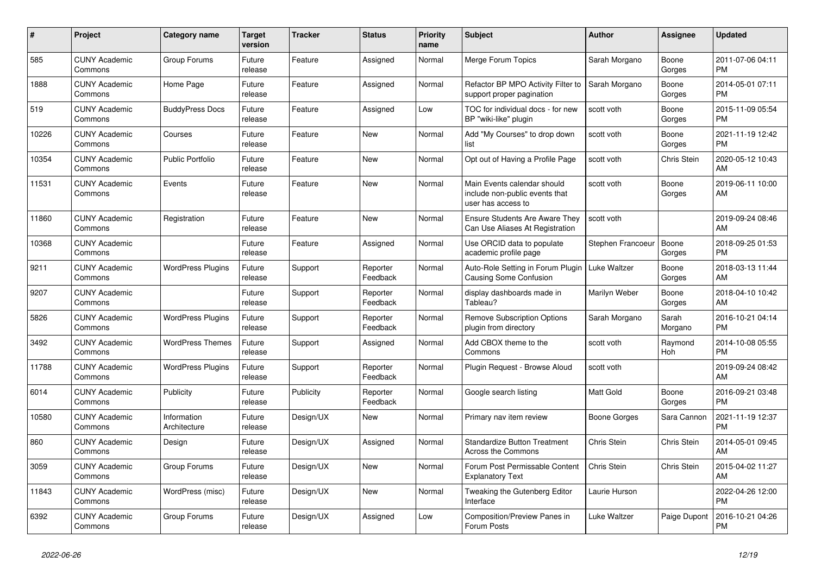| #     | <b>Project</b>                  | <b>Category name</b>        | Target<br>version | Tracker   | <b>Status</b>        | <b>Priority</b><br>name | <b>Subject</b>                                                                      | <b>Author</b>     | Assignee         | <b>Updated</b>                |
|-------|---------------------------------|-----------------------------|-------------------|-----------|----------------------|-------------------------|-------------------------------------------------------------------------------------|-------------------|------------------|-------------------------------|
| 585   | <b>CUNY Academic</b><br>Commons | Group Forums                | Future<br>release | Feature   | Assigned             | Normal                  | Merge Forum Topics                                                                  | Sarah Morgano     | Boone<br>Gorges  | 2011-07-06 04:11<br><b>PM</b> |
| 1888  | <b>CUNY Academic</b><br>Commons | Home Page                   | Future<br>release | Feature   | Assigned             | Normal                  | Refactor BP MPO Activity Filter to<br>support proper pagination                     | Sarah Morgano     | Boone<br>Gorges  | 2014-05-01 07:11<br><b>PM</b> |
| 519   | <b>CUNY Academic</b><br>Commons | <b>BuddyPress Docs</b>      | Future<br>release | Feature   | Assigned             | Low                     | TOC for individual docs - for new<br>BP "wiki-like" plugin                          | scott voth        | Boone<br>Gorges  | 2015-11-09 05:54<br><b>PM</b> |
| 10226 | <b>CUNY Academic</b><br>Commons | Courses                     | Future<br>release | Feature   | <b>New</b>           | Normal                  | Add "My Courses" to drop down<br>list                                               | scott voth        | Boone<br>Gorges  | 2021-11-19 12:42<br><b>PM</b> |
| 10354 | <b>CUNY Academic</b><br>Commons | <b>Public Portfolio</b>     | Future<br>release | Feature   | <b>New</b>           | Normal                  | Opt out of Having a Profile Page                                                    | scott voth        | Chris Stein      | 2020-05-12 10:43<br>AM        |
| 11531 | <b>CUNY Academic</b><br>Commons | Events                      | Future<br>release | Feature   | <b>New</b>           | Normal                  | Main Events calendar should<br>include non-public events that<br>user has access to | scott voth        | Boone<br>Gorges  | 2019-06-11 10:00<br>AM        |
| 11860 | <b>CUNY Academic</b><br>Commons | Registration                | Future<br>release | Feature   | <b>New</b>           | Normal                  | <b>Ensure Students Are Aware They</b><br>Can Use Aliases At Registration            | scott voth        |                  | 2019-09-24 08:46<br>AM        |
| 10368 | <b>CUNY Academic</b><br>Commons |                             | Future<br>release | Feature   | Assigned             | Normal                  | Use ORCID data to populate<br>academic profile page                                 | Stephen Francoeur | Boone<br>Gorges  | 2018-09-25 01:53<br><b>PM</b> |
| 9211  | <b>CUNY Academic</b><br>Commons | <b>WordPress Plugins</b>    | Future<br>release | Support   | Reporter<br>Feedback | Normal                  | Auto-Role Setting in Forum Plugin   Luke Waltzer<br><b>Causing Some Confusion</b>   |                   | Boone<br>Gorges  | 2018-03-13 11:44<br>AM        |
| 9207  | <b>CUNY Academic</b><br>Commons |                             | Future<br>release | Support   | Reporter<br>Feedback | Normal                  | display dashboards made in<br>Tableau?                                              | Marilyn Weber     | Boone<br>Gorges  | 2018-04-10 10:42<br>AM        |
| 5826  | <b>CUNY Academic</b><br>Commons | <b>WordPress Plugins</b>    | Future<br>release | Support   | Reporter<br>Feedback | Normal                  | <b>Remove Subscription Options</b><br>plugin from directory                         | Sarah Morgano     | Sarah<br>Morgano | 2016-10-21 04:14<br><b>PM</b> |
| 3492  | <b>CUNY Academic</b><br>Commons | <b>WordPress Themes</b>     | Future<br>release | Support   | Assigned             | Normal                  | Add CBOX theme to the<br>Commons                                                    | scott voth        | Raymond<br>Hoh   | 2014-10-08 05:55<br><b>PM</b> |
| 11788 | <b>CUNY Academic</b><br>Commons | <b>WordPress Plugins</b>    | Future<br>release | Support   | Reporter<br>Feedback | Normal                  | Plugin Request - Browse Aloud                                                       | scott voth        |                  | 2019-09-24 08:42<br>AM        |
| 6014  | <b>CUNY Academic</b><br>Commons | Publicity                   | Future<br>release | Publicity | Reporter<br>Feedback | Normal                  | Google search listing                                                               | <b>Matt Gold</b>  | Boone<br>Gorges  | 2016-09-21 03:48<br><b>PM</b> |
| 10580 | <b>CUNY Academic</b><br>Commons | Information<br>Architecture | Future<br>release | Design/UX | New                  | Normal                  | Primary nav item review                                                             | Boone Gorges      | Sara Cannon      | 2021-11-19 12:37<br><b>PM</b> |
| 860   | <b>CUNY Academic</b><br>Commons | Design                      | Future<br>release | Design/UX | Assigned             | Normal                  | <b>Standardize Button Treatment</b><br>Across the Commons                           | Chris Stein       | Chris Stein      | 2014-05-01 09:45<br>AM        |
| 3059  | <b>CUNY Academic</b><br>Commons | Group Forums                | Future<br>release | Design/UX | <b>New</b>           | Normal                  | Forum Post Permissable Content<br><b>Explanatory Text</b>                           | Chris Stein       | Chris Stein      | 2015-04-02 11:27<br>AM        |
| 11843 | <b>CUNY Academic</b><br>Commons | WordPress (misc)            | Future<br>release | Design/UX | <b>New</b>           | Normal                  | Tweaking the Gutenberg Editor<br>Interface                                          | Laurie Hurson     |                  | 2022-04-26 12:00<br><b>PM</b> |
| 6392  | <b>CUNY Academic</b><br>Commons | Group Forums                | Future<br>release | Design/UX | Assigned             | Low                     | <b>Composition/Preview Panes in</b><br>Forum Posts                                  | Luke Waltzer      | Paige Dupont     | 2016-10-21 04:26<br><b>PM</b> |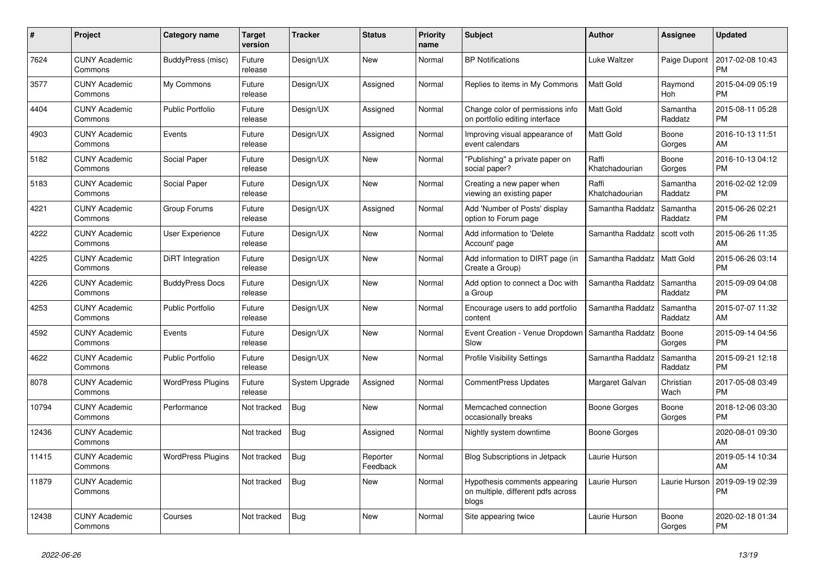| #     | <b>Project</b>                  | Category name            | <b>Target</b><br>version | <b>Tracker</b> | <b>Status</b>        | <b>Priority</b><br>name | <b>Subject</b>                                                               | <b>Author</b>           | <b>Assignee</b>     | <b>Updated</b>                |
|-------|---------------------------------|--------------------------|--------------------------|----------------|----------------------|-------------------------|------------------------------------------------------------------------------|-------------------------|---------------------|-------------------------------|
| 7624  | <b>CUNY Academic</b><br>Commons | BuddyPress (misc)        | Future<br>release        | Design/UX      | <b>New</b>           | Normal                  | <b>BP Notifications</b>                                                      | Luke Waltzer            | Paige Dupont        | 2017-02-08 10:43<br><b>PM</b> |
| 3577  | <b>CUNY Academic</b><br>Commons | My Commons               | Future<br>release        | Design/UX      | Assigned             | Normal                  | Replies to items in My Commons                                               | <b>Matt Gold</b>        | Raymond<br>Hoh      | 2015-04-09 05:19<br><b>PM</b> |
| 4404  | <b>CUNY Academic</b><br>Commons | <b>Public Portfolio</b>  | Future<br>release        | Design/UX      | Assigned             | Normal                  | Change color of permissions info<br>on portfolio editing interface           | Matt Gold               | Samantha<br>Raddatz | 2015-08-11 05:28<br><b>PM</b> |
| 4903  | <b>CUNY Academic</b><br>Commons | Events                   | Future<br>release        | Design/UX      | Assigned             | Normal                  | Improving visual appearance of<br>event calendars                            | <b>Matt Gold</b>        | Boone<br>Gorges     | 2016-10-13 11:51<br>AM        |
| 5182  | <b>CUNY Academic</b><br>Commons | Social Paper             | Future<br>release        | Design/UX      | New                  | Normal                  | 'Publishing" a private paper on<br>social paper?                             | Raffi<br>Khatchadourian | Boone<br>Gorges     | 2016-10-13 04:12<br><b>PM</b> |
| 5183  | <b>CUNY Academic</b><br>Commons | Social Paper             | Future<br>release        | Design/UX      | New                  | Normal                  | Creating a new paper when<br>viewing an existing paper                       | Raffi<br>Khatchadourian | Samantha<br>Raddatz | 2016-02-02 12:09<br><b>PM</b> |
| 4221  | <b>CUNY Academic</b><br>Commons | Group Forums             | Future<br>release        | Design/UX      | Assigned             | Normal                  | Add 'Number of Posts' display<br>option to Forum page                        | Samantha Raddatz        | Samantha<br>Raddatz | 2015-06-26 02:21<br><b>PM</b> |
| 4222  | <b>CUNY Academic</b><br>Commons | <b>User Experience</b>   | Future<br>release        | Design/UX      | <b>New</b>           | Normal                  | Add information to 'Delete<br>Account' page                                  | Samantha Raddatz        | scott voth          | 2015-06-26 11:35<br>AM        |
| 4225  | <b>CUNY Academic</b><br>Commons | DiRT Integration         | Future<br>release        | Design/UX      | <b>New</b>           | Normal                  | Add information to DIRT page (in<br>Create a Group)                          | Samantha Raddatz        | <b>Matt Gold</b>    | 2015-06-26 03:14<br><b>PM</b> |
| 4226  | <b>CUNY Academic</b><br>Commons | <b>BuddyPress Docs</b>   | Future<br>release        | Design/UX      | <b>New</b>           | Normal                  | Add option to connect a Doc with<br>a Group                                  | Samantha Raddatz        | Samantha<br>Raddatz | 2015-09-09 04:08<br><b>PM</b> |
| 4253  | <b>CUNY Academic</b><br>Commons | <b>Public Portfolio</b>  | Future<br>release        | Design/UX      | <b>New</b>           | Normal                  | Encourage users to add portfolio<br>content                                  | Samantha Raddatz        | Samantha<br>Raddatz | 2015-07-07 11:32<br>AM        |
| 4592  | <b>CUNY Academic</b><br>Commons | Events                   | Future<br>release        | Design/UX      | New                  | Normal                  | Event Creation - Venue Dropdown<br>Slow                                      | Samantha Raddatz        | Boone<br>Gorges     | 2015-09-14 04:56<br><b>PM</b> |
| 4622  | <b>CUNY Academic</b><br>Commons | <b>Public Portfolio</b>  | Future<br>release        | Design/UX      | <b>New</b>           | Normal                  | <b>Profile Visibility Settings</b>                                           | Samantha Raddatz        | Samantha<br>Raddatz | 2015-09-21 12:18<br><b>PM</b> |
| 8078  | <b>CUNY Academic</b><br>Commons | <b>WordPress Plugins</b> | Future<br>release        | System Upgrade | Assigned             | Normal                  | <b>CommentPress Updates</b>                                                  | Margaret Galvan         | Christian<br>Wach   | 2017-05-08 03:49<br><b>PM</b> |
| 10794 | <b>CUNY Academic</b><br>Commons | Performance              | Not tracked              | <b>Bug</b>     | <b>New</b>           | Normal                  | Memcached connection<br>occasionally breaks                                  | Boone Gorges            | Boone<br>Gorges     | 2018-12-06 03:30<br><b>PM</b> |
| 12436 | <b>CUNY Academic</b><br>Commons |                          | Not tracked              | <b>Bug</b>     | Assigned             | Normal                  | Nightly system downtime                                                      | Boone Gorges            |                     | 2020-08-01 09:30<br>AM        |
| 11415 | <b>CUNY Academic</b><br>Commons | <b>WordPress Plugins</b> | Not tracked              | Bug            | Reporter<br>Feedback | Normal                  | Blog Subscriptions in Jetpack                                                | Laurie Hurson           |                     | 2019-05-14 10:34<br>AM        |
| 11879 | <b>CUNY Academic</b><br>Commons |                          | Not tracked              | Bug            | <b>New</b>           | Normal                  | Hypothesis comments appearing<br>on multiple, different pdfs across<br>blogs | Laurie Hurson           | Laurie Hurson       | 2019-09-19 02:39<br><b>PM</b> |
| 12438 | <b>CUNY Academic</b><br>Commons | Courses                  | Not tracked              | <b>Bug</b>     | <b>New</b>           | Normal                  | Site appearing twice                                                         | Laurie Hurson           | Boone<br>Gorges     | 2020-02-18 01:34<br><b>PM</b> |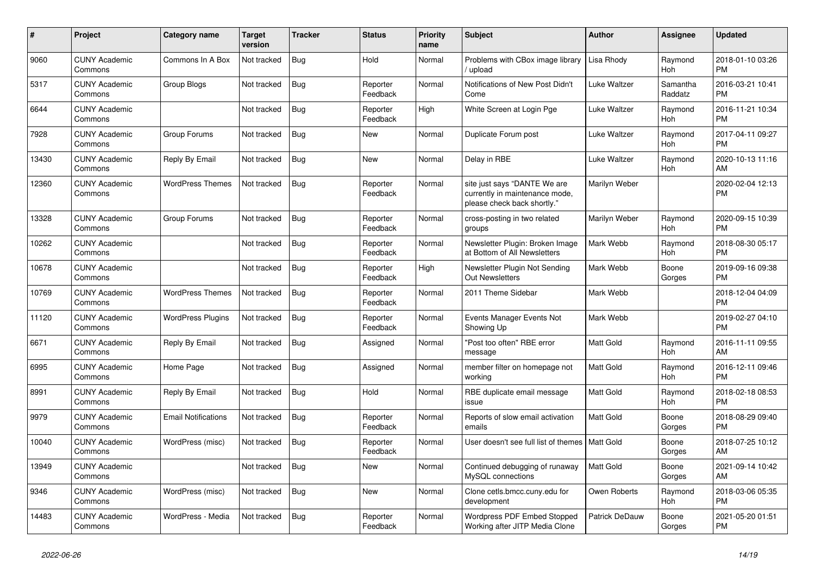| #     | <b>Project</b>                  | <b>Category name</b>       | Target<br>version | Tracker    | <b>Status</b>        | <b>Priority</b><br>name | <b>Subject</b>                                                                                | <b>Author</b>         | <b>Assignee</b>       | <b>Updated</b>                |
|-------|---------------------------------|----------------------------|-------------------|------------|----------------------|-------------------------|-----------------------------------------------------------------------------------------------|-----------------------|-----------------------|-------------------------------|
| 9060  | <b>CUNY Academic</b><br>Commons | Commons In A Box           | Not tracked       | <b>Bug</b> | Hold                 | Normal                  | Problems with CBox image library<br>upload                                                    | Lisa Rhody            | Raymond<br><b>Hoh</b> | 2018-01-10 03:26<br><b>PM</b> |
| 5317  | <b>CUNY Academic</b><br>Commons | Group Blogs                | Not tracked       | <b>Bug</b> | Reporter<br>Feedback | Normal                  | Notifications of New Post Didn't<br>Come                                                      | Luke Waltzer          | Samantha<br>Raddatz   | 2016-03-21 10:41<br><b>PM</b> |
| 6644  | <b>CUNY Academic</b><br>Commons |                            | Not tracked       | Bug        | Reporter<br>Feedback | High                    | White Screen at Login Pge                                                                     | Luke Waltzer          | Raymond<br>Hoh        | 2016-11-21 10:34<br><b>PM</b> |
| 7928  | <b>CUNY Academic</b><br>Commons | Group Forums               | Not tracked       | <b>Bug</b> | <b>New</b>           | Normal                  | Duplicate Forum post                                                                          | Luke Waltzer          | Raymond<br>Hoh        | 2017-04-11 09:27<br><b>PM</b> |
| 13430 | <b>CUNY Academic</b><br>Commons | Reply By Email             | Not tracked       | <b>Bug</b> | New                  | Normal                  | Delay in RBE                                                                                  | Luke Waltzer          | Raymond<br>Hoh        | 2020-10-13 11:16<br>AM        |
| 12360 | <b>CUNY Academic</b><br>Commons | <b>WordPress Themes</b>    | Not tracked       | Bug        | Reporter<br>Feedback | Normal                  | site just says "DANTE We are<br>currently in maintenance mode,<br>please check back shortly." | Marilyn Weber         |                       | 2020-02-04 12:13<br><b>PM</b> |
| 13328 | <b>CUNY Academic</b><br>Commons | Group Forums               | Not tracked       | Bug        | Reporter<br>Feedback | Normal                  | cross-posting in two related<br>groups                                                        | Marilyn Weber         | Raymond<br>Hoh        | 2020-09-15 10:39<br><b>PM</b> |
| 10262 | <b>CUNY Academic</b><br>Commons |                            | Not tracked       | <b>Bug</b> | Reporter<br>Feedback | Normal                  | Newsletter Plugin: Broken Image<br>at Bottom of All Newsletters                               | Mark Webb             | Raymond<br><b>Hoh</b> | 2018-08-30 05:17<br><b>PM</b> |
| 10678 | <b>CUNY Academic</b><br>Commons |                            | Not tracked       | <b>Bug</b> | Reporter<br>Feedback | High                    | Newsletter Plugin Not Sending<br><b>Out Newsletters</b>                                       | Mark Webb             | Boone<br>Gorges       | 2019-09-16 09:38<br><b>PM</b> |
| 10769 | <b>CUNY Academic</b><br>Commons | <b>WordPress Themes</b>    | Not tracked       | <b>Bug</b> | Reporter<br>Feedback | Normal                  | 2011 Theme Sidebar                                                                            | Mark Webb             |                       | 2018-12-04 04:09<br><b>PM</b> |
| 11120 | <b>CUNY Academic</b><br>Commons | <b>WordPress Plugins</b>   | Not tracked       | Bug        | Reporter<br>Feedback | Normal                  | Events Manager Events Not<br>Showing Up                                                       | Mark Webb             |                       | 2019-02-27 04:10<br><b>PM</b> |
| 6671  | <b>CUNY Academic</b><br>Commons | Reply By Email             | Not tracked       | Bug        | Assigned             | Normal                  | "Post too often" RBE error<br>message                                                         | <b>Matt Gold</b>      | Raymond<br>Hoh        | 2016-11-11 09:55<br>AM        |
| 6995  | <b>CUNY Academic</b><br>Commons | Home Page                  | Not tracked       | <b>Bug</b> | Assigned             | Normal                  | member filter on homepage not<br>working                                                      | Matt Gold             | Raymond<br>Hoh        | 2016-12-11 09:46<br><b>PM</b> |
| 8991  | <b>CUNY Academic</b><br>Commons | Reply By Email             | Not tracked       | <b>Bug</b> | Hold                 | Normal                  | RBE duplicate email message<br>issue                                                          | Matt Gold             | Raymond<br>Hoh        | 2018-02-18 08:53<br><b>PM</b> |
| 9979  | <b>CUNY Academic</b><br>Commons | <b>Email Notifications</b> | Not tracked       | <b>Bug</b> | Reporter<br>Feedback | Normal                  | Reports of slow email activation<br>emails                                                    | Matt Gold             | Boone<br>Gorges       | 2018-08-29 09:40<br><b>PM</b> |
| 10040 | <b>CUNY Academic</b><br>Commons | WordPress (misc)           | Not tracked       | <b>Bug</b> | Reporter<br>Feedback | Normal                  | User doesn't see full list of themes                                                          | <b>Matt Gold</b>      | Boone<br>Gorges       | 2018-07-25 10:12<br>AM        |
| 13949 | <b>CUNY Academic</b><br>Commons |                            | Not tracked       | Bug        | <b>New</b>           | Normal                  | Continued debugging of runaway<br>MySQL connections                                           | <b>Matt Gold</b>      | Boone<br>Gorges       | 2021-09-14 10:42<br>AM        |
| 9346  | <b>CUNY Academic</b><br>Commons | WordPress (misc)           | Not tracked       | <b>Bug</b> | <b>New</b>           | Normal                  | Clone cetls.bmcc.cuny.edu for<br>development                                                  | Owen Roberts          | Raymond<br>Hoh        | 2018-03-06 05:35<br><b>PM</b> |
| 14483 | <b>CUNY Academic</b><br>Commons | WordPress - Media          | Not tracked       | Bug        | Reporter<br>Feedback | Normal                  | Wordpress PDF Embed Stopped<br>Working after JITP Media Clone                                 | <b>Patrick DeDauw</b> | Boone<br>Gorges       | 2021-05-20 01:51<br><b>PM</b> |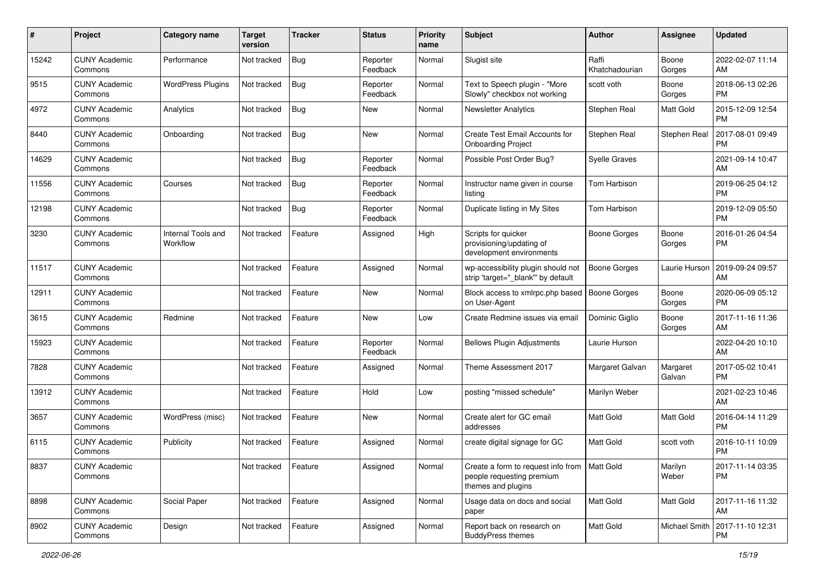| #     | Project                         | <b>Category name</b>           | <b>Target</b><br>version | <b>Tracker</b> | <b>Status</b>        | <b>Priority</b><br>name | <b>Subject</b>                                                                                    | <b>Author</b>           | <b>Assignee</b>    | <b>Updated</b>                |
|-------|---------------------------------|--------------------------------|--------------------------|----------------|----------------------|-------------------------|---------------------------------------------------------------------------------------------------|-------------------------|--------------------|-------------------------------|
| 15242 | <b>CUNY Academic</b><br>Commons | Performance                    | Not tracked              | Bug            | Reporter<br>Feedback | Normal                  | Slugist site                                                                                      | Raffi<br>Khatchadourian | Boone<br>Gorges    | 2022-02-07 11:14<br>AM        |
| 9515  | <b>CUNY Academic</b><br>Commons | <b>WordPress Plugins</b>       | Not tracked              | <b>Bug</b>     | Reporter<br>Feedback | Normal                  | Text to Speech plugin - "More<br>Slowly" checkbox not working                                     | scott voth              | Boone<br>Gorges    | 2018-06-13 02:26<br><b>PM</b> |
| 4972  | <b>CUNY Academic</b><br>Commons | Analytics                      | Not tracked              | Bug            | New                  | Normal                  | <b>Newsletter Analytics</b>                                                                       | Stephen Real            | Matt Gold          | 2015-12-09 12:54<br><b>PM</b> |
| 8440  | <b>CUNY Academic</b><br>Commons | Onboarding                     | Not tracked              | <b>Bug</b>     | <b>New</b>           | Normal                  | Create Test Email Accounts for<br><b>Onboarding Project</b>                                       | Stephen Real            | Stephen Real       | 2017-08-01 09:49<br><b>PM</b> |
| 14629 | <b>CUNY Academic</b><br>Commons |                                | Not tracked              | <b>Bug</b>     | Reporter<br>Feedback | Normal                  | Possible Post Order Bug?                                                                          | <b>Syelle Graves</b>    |                    | 2021-09-14 10:47<br>AM        |
| 11556 | <b>CUNY Academic</b><br>Commons | Courses                        | Not tracked              | Bug            | Reporter<br>Feedback | Normal                  | Instructor name given in course<br>listing                                                        | Tom Harbison            |                    | 2019-06-25 04:12<br><b>PM</b> |
| 12198 | <b>CUNY Academic</b><br>Commons |                                | Not tracked              | <b>Bug</b>     | Reporter<br>Feedback | Normal                  | Duplicate listing in My Sites                                                                     | Tom Harbison            |                    | 2019-12-09 05:50<br><b>PM</b> |
| 3230  | <b>CUNY Academic</b><br>Commons | Internal Tools and<br>Workflow | Not tracked              | Feature        | Assigned             | High                    | Scripts for quicker<br>provisioning/updating of<br>development environments                       | <b>Boone Gorges</b>     | Boone<br>Gorges    | 2016-01-26 04:54<br><b>PM</b> |
| 11517 | <b>CUNY Academic</b><br>Commons |                                | Not tracked              | Feature        | Assigned             | Normal                  | wp-accessibility plugin should not<br>strip 'target="_blank"' by default                          | <b>Boone Gorges</b>     | Laurie Hurson      | 2019-09-24 09:57<br>AM        |
| 12911 | <b>CUNY Academic</b><br>Commons |                                | Not tracked              | Feature        | <b>New</b>           | Normal                  | Block access to xmlrpc.php based<br>on User-Agent                                                 | <b>Boone Gorges</b>     | Boone<br>Gorges    | 2020-06-09 05:12<br><b>PM</b> |
| 3615  | <b>CUNY Academic</b><br>Commons | Redmine                        | Not tracked              | Feature        | <b>New</b>           | Low                     | Create Redmine issues via email                                                                   | Dominic Giglio          | Boone<br>Gorges    | 2017-11-16 11:36<br>AM        |
| 15923 | <b>CUNY Academic</b><br>Commons |                                | Not tracked              | Feature        | Reporter<br>Feedback | Normal                  | <b>Bellows Plugin Adjustments</b>                                                                 | Laurie Hurson           |                    | 2022-04-20 10:10<br>AM        |
| 7828  | <b>CUNY Academic</b><br>Commons |                                | Not tracked              | Feature        | Assigned             | Normal                  | Theme Assessment 2017                                                                             | Margaret Galvan         | Margaret<br>Galvan | 2017-05-02 10:41<br><b>PM</b> |
| 13912 | <b>CUNY Academic</b><br>Commons |                                | Not tracked              | Feature        | Hold                 | Low                     | posting "missed schedule"                                                                         | Marilyn Weber           |                    | 2021-02-23 10:46<br>AM        |
| 3657  | <b>CUNY Academic</b><br>Commons | WordPress (misc)               | Not tracked              | Feature        | <b>New</b>           | Normal                  | Create alert for GC email<br>addresses                                                            | <b>Matt Gold</b>        | Matt Gold          | 2016-04-14 11:29<br><b>PM</b> |
| 6115  | <b>CUNY Academic</b><br>Commons | Publicity                      | Not tracked              | Feature        | Assigned             | Normal                  | create digital signage for GC                                                                     | Matt Gold               | scott voth         | 2016-10-11 10:09<br><b>PM</b> |
| 8837  | <b>CUNY Academic</b><br>Commons |                                | Not tracked              | Feature        | Assigned             | Normal                  | Create a form to request info from   Matt Gold<br>people requesting premium<br>themes and plugins |                         | Marilyn<br>Weber   | 2017-11-14 03:35<br>PM        |
| 8898  | <b>CUNY Academic</b><br>Commons | Social Paper                   | Not tracked              | Feature        | Assigned             | Normal                  | Usage data on docs and social<br>paper                                                            | Matt Gold               | Matt Gold          | 2017-11-16 11:32<br>AM        |
| 8902  | <b>CUNY Academic</b><br>Commons | Design                         | Not tracked              | Feature        | Assigned             | Normal                  | Report back on research on<br><b>BuddyPress themes</b>                                            | Matt Gold               | Michael Smith      | 2017-11-10 12:31<br>PM        |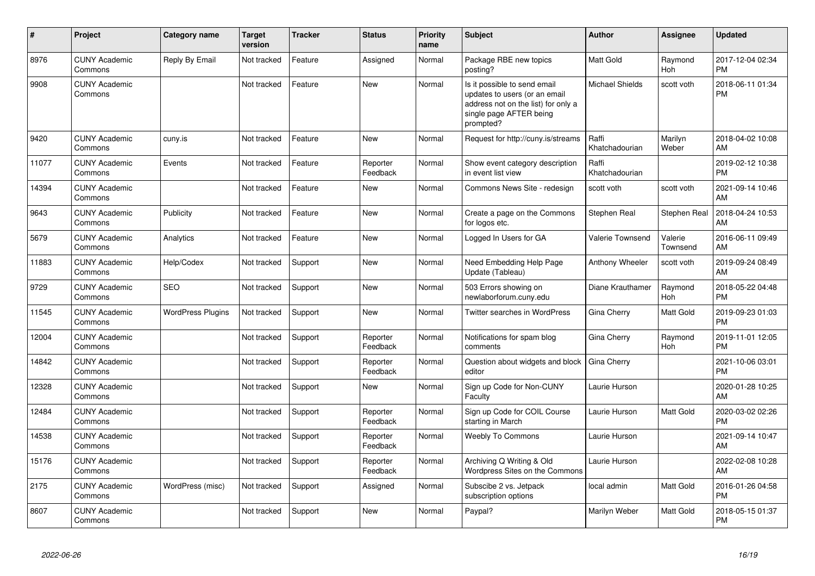| #     | Project                         | <b>Category name</b>     | <b>Target</b><br>version | <b>Tracker</b> | <b>Status</b>        | <b>Priority</b><br>name | Subject                                                                                                                                      | <b>Author</b>           | Assignee              | <b>Updated</b>                |
|-------|---------------------------------|--------------------------|--------------------------|----------------|----------------------|-------------------------|----------------------------------------------------------------------------------------------------------------------------------------------|-------------------------|-----------------------|-------------------------------|
| 8976  | <b>CUNY Academic</b><br>Commons | Reply By Email           | Not tracked              | Feature        | Assigned             | Normal                  | Package RBE new topics<br>posting?                                                                                                           | Matt Gold               | Raymond<br><b>Hoh</b> | 2017-12-04 02:34<br><b>PM</b> |
| 9908  | <b>CUNY Academic</b><br>Commons |                          | Not tracked              | Feature        | <b>New</b>           | Normal                  | Is it possible to send email<br>updates to users (or an email<br>address not on the list) for only a<br>single page AFTER being<br>prompted? | <b>Michael Shields</b>  | scott voth            | 2018-06-11 01:34<br><b>PM</b> |
| 9420  | <b>CUNY Academic</b><br>Commons | cuny.is                  | Not tracked              | Feature        | <b>New</b>           | Normal                  | Request for http://cuny.is/streams                                                                                                           | Raffi<br>Khatchadourian | Marilyn<br>Weber      | 2018-04-02 10:08<br>AM        |
| 11077 | <b>CUNY Academic</b><br>Commons | Events                   | Not tracked              | Feature        | Reporter<br>Feedback | Normal                  | Show event category description<br>in event list view                                                                                        | Raffi<br>Khatchadourian |                       | 2019-02-12 10:38<br><b>PM</b> |
| 14394 | <b>CUNY Academic</b><br>Commons |                          | Not tracked              | Feature        | New                  | Normal                  | Commons News Site - redesign                                                                                                                 | scott voth              | scott voth            | 2021-09-14 10:46<br>AM        |
| 9643  | <b>CUNY Academic</b><br>Commons | Publicity                | Not tracked              | Feature        | <b>New</b>           | Normal                  | Create a page on the Commons<br>for logos etc.                                                                                               | Stephen Real            | <b>Stephen Real</b>   | 2018-04-24 10:53<br>AM        |
| 5679  | <b>CUNY Academic</b><br>Commons | Analytics                | Not tracked              | Feature        | New                  | Normal                  | Logged In Users for GA                                                                                                                       | Valerie Townsend        | Valerie<br>Townsend   | 2016-06-11 09:49<br>AM        |
| 11883 | <b>CUNY Academic</b><br>Commons | Help/Codex               | Not tracked              | Support        | New                  | Normal                  | Need Embedding Help Page<br>Update (Tableau)                                                                                                 | Anthony Wheeler         | scott voth            | 2019-09-24 08:49<br>AM        |
| 9729  | <b>CUNY Academic</b><br>Commons | <b>SEO</b>               | Not tracked              | Support        | New                  | Normal                  | 503 Errors showing on<br>newlaborforum.cuny.edu                                                                                              | Diane Krauthamer        | Raymond<br>Hoh        | 2018-05-22 04:48<br><b>PM</b> |
| 11545 | <b>CUNY Academic</b><br>Commons | <b>WordPress Plugins</b> | Not tracked              | Support        | <b>New</b>           | Normal                  | Twitter searches in WordPress                                                                                                                | Gina Cherry             | Matt Gold             | 2019-09-23 01:03<br><b>PM</b> |
| 12004 | <b>CUNY Academic</b><br>Commons |                          | Not tracked              | Support        | Reporter<br>Feedback | Normal                  | Notifications for spam blog<br>comments                                                                                                      | Gina Cherry             | Raymond<br>Hoh        | 2019-11-01 12:05<br><b>PM</b> |
| 14842 | <b>CUNY Academic</b><br>Commons |                          | Not tracked              | Support        | Reporter<br>Feedback | Normal                  | Question about widgets and block<br>editor                                                                                                   | Gina Cherry             |                       | 2021-10-06 03:01<br><b>PM</b> |
| 12328 | <b>CUNY Academic</b><br>Commons |                          | Not tracked              | Support        | <b>New</b>           | Normal                  | Sign up Code for Non-CUNY<br>Faculty                                                                                                         | Laurie Hurson           |                       | 2020-01-28 10:25<br>AM        |
| 12484 | <b>CUNY Academic</b><br>Commons |                          | Not tracked              | Support        | Reporter<br>Feedback | Normal                  | Sign up Code for COIL Course<br>starting in March                                                                                            | Laurie Hurson           | Matt Gold             | 2020-03-02 02:26<br><b>PM</b> |
| 14538 | <b>CUNY Academic</b><br>Commons |                          | Not tracked              | Support        | Reporter<br>Feedback | Normal                  | <b>Weebly To Commons</b>                                                                                                                     | Laurie Hurson           |                       | 2021-09-14 10:47<br>AM        |
| 15176 | <b>CUNY Academic</b><br>Commons |                          | Not tracked              | Support        | Reporter<br>Feedback | Normal                  | Archiving Q Writing & Old<br>Wordpress Sites on the Commons                                                                                  | Laurie Hurson           |                       | 2022-02-08 10:28<br>AM        |
| 2175  | <b>CUNY Academic</b><br>Commons | WordPress (misc)         | Not tracked              | Support        | Assigned             | Normal                  | Subscibe 2 vs. Jetpack<br>subscription options                                                                                               | local admin             | Matt Gold             | 2016-01-26 04:58<br><b>PM</b> |
| 8607  | <b>CUNY Academic</b><br>Commons |                          | Not tracked              | Support        | <b>New</b>           | Normal                  | Paypal?                                                                                                                                      | Marilyn Weber           | Matt Gold             | 2018-05-15 01:37<br><b>PM</b> |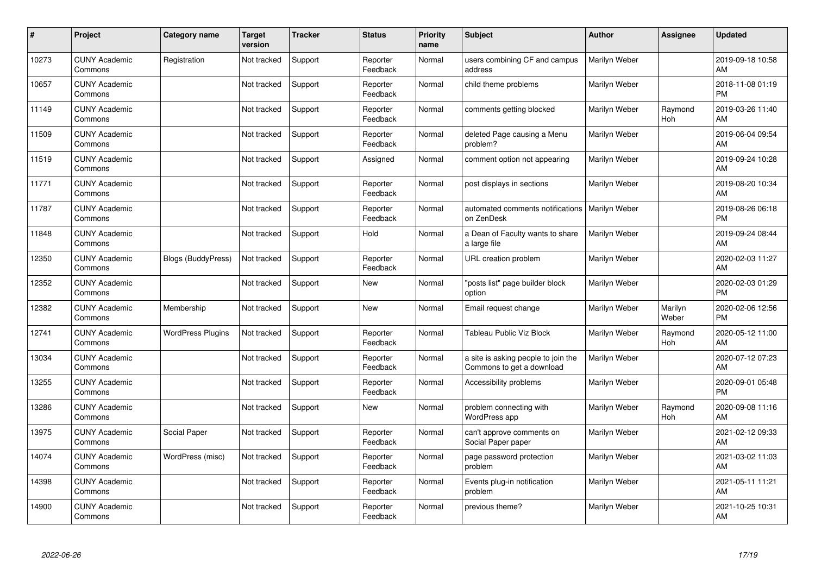| #     | Project                         | Category name             | <b>Target</b><br>version | <b>Tracker</b> | <b>Status</b>        | <b>Priority</b><br>name | <b>Subject</b>                                                   | <b>Author</b> | <b>Assignee</b>  | <b>Updated</b>                |
|-------|---------------------------------|---------------------------|--------------------------|----------------|----------------------|-------------------------|------------------------------------------------------------------|---------------|------------------|-------------------------------|
| 10273 | <b>CUNY Academic</b><br>Commons | Registration              | Not tracked              | Support        | Reporter<br>Feedback | Normal                  | users combining CF and campus<br>address                         | Marilyn Weber |                  | 2019-09-18 10:58<br>AM        |
| 10657 | <b>CUNY Academic</b><br>Commons |                           | Not tracked              | Support        | Reporter<br>Feedback | Normal                  | child theme problems                                             | Marilyn Weber |                  | 2018-11-08 01:19<br><b>PM</b> |
| 11149 | <b>CUNY Academic</b><br>Commons |                           | Not tracked              | Support        | Reporter<br>Feedback | Normal                  | comments getting blocked                                         | Marilyn Weber | Raymond<br>Hoh   | 2019-03-26 11:40<br>AM        |
| 11509 | <b>CUNY Academic</b><br>Commons |                           | Not tracked              | Support        | Reporter<br>Feedback | Normal                  | deleted Page causing a Menu<br>problem?                          | Marilyn Weber |                  | 2019-06-04 09:54<br>AM        |
| 11519 | <b>CUNY Academic</b><br>Commons |                           | Not tracked              | Support        | Assigned             | Normal                  | comment option not appearing                                     | Marilyn Weber |                  | 2019-09-24 10:28<br>AM        |
| 11771 | <b>CUNY Academic</b><br>Commons |                           | Not tracked              | Support        | Reporter<br>Feedback | Normal                  | post displays in sections                                        | Marilyn Weber |                  | 2019-08-20 10:34<br>AM        |
| 11787 | <b>CUNY Academic</b><br>Commons |                           | Not tracked              | Support        | Reporter<br>Feedback | Normal                  | automated comments notifications<br>on ZenDesk                   | Marilyn Weber |                  | 2019-08-26 06:18<br><b>PM</b> |
| 11848 | <b>CUNY Academic</b><br>Commons |                           | Not tracked              | Support        | Hold                 | Normal                  | a Dean of Faculty wants to share<br>a large file                 | Marilyn Weber |                  | 2019-09-24 08:44<br>AM        |
| 12350 | <b>CUNY Academic</b><br>Commons | <b>Blogs (BuddyPress)</b> | Not tracked              | Support        | Reporter<br>Feedback | Normal                  | URL creation problem                                             | Marilyn Weber |                  | 2020-02-03 11:27<br>AM        |
| 12352 | <b>CUNY Academic</b><br>Commons |                           | Not tracked              | Support        | <b>New</b>           | Normal                  | 'posts list" page builder block<br>option                        | Marilyn Weber |                  | 2020-02-03 01:29<br><b>PM</b> |
| 12382 | <b>CUNY Academic</b><br>Commons | Membership                | Not tracked              | Support        | <b>New</b>           | Normal                  | Email request change                                             | Marilyn Weber | Marilyn<br>Weber | 2020-02-06 12:56<br><b>PM</b> |
| 12741 | <b>CUNY Academic</b><br>Commons | <b>WordPress Plugins</b>  | Not tracked              | Support        | Reporter<br>Feedback | Normal                  | Tableau Public Viz Block                                         | Marilyn Weber | Raymond<br>Hoh   | 2020-05-12 11:00<br>AM        |
| 13034 | <b>CUNY Academic</b><br>Commons |                           | Not tracked              | Support        | Reporter<br>Feedback | Normal                  | a site is asking people to join the<br>Commons to get a download | Marilyn Weber |                  | 2020-07-12 07:23<br>AM        |
| 13255 | <b>CUNY Academic</b><br>Commons |                           | Not tracked              | Support        | Reporter<br>Feedback | Normal                  | Accessibility problems                                           | Marilyn Weber |                  | 2020-09-01 05:48<br><b>PM</b> |
| 13286 | <b>CUNY Academic</b><br>Commons |                           | Not tracked              | Support        | New                  | Normal                  | problem connecting with<br>WordPress app                         | Marilyn Weber | Raymond<br>Hoh   | 2020-09-08 11:16<br>AM        |
| 13975 | <b>CUNY Academic</b><br>Commons | Social Paper              | Not tracked              | Support        | Reporter<br>Feedback | Normal                  | can't approve comments on<br>Social Paper paper                  | Marilyn Weber |                  | 2021-02-12 09:33<br>AM        |
| 14074 | <b>CUNY Academic</b><br>Commons | WordPress (misc)          | Not tracked              | Support        | Reporter<br>Feedback | Normal                  | page password protection<br>problem                              | Marilyn Weber |                  | 2021-03-02 11:03<br>AM        |
| 14398 | <b>CUNY Academic</b><br>Commons |                           | Not tracked              | Support        | Reporter<br>Feedback | Normal                  | Events plug-in notification<br>problem                           | Marilyn Weber |                  | 2021-05-11 11:21<br>AM        |
| 14900 | <b>CUNY Academic</b><br>Commons |                           | Not tracked              | Support        | Reporter<br>Feedback | Normal                  | previous theme?                                                  | Marilyn Weber |                  | 2021-10-25 10:31<br>AM        |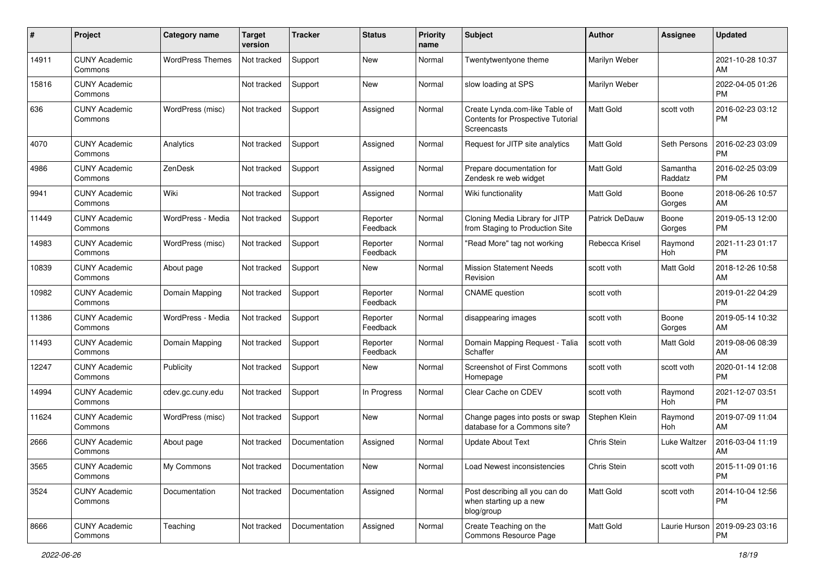| #     | Project                         | <b>Category name</b>    | <b>Target</b><br>version | <b>Tracker</b> | <b>Status</b>        | <b>Priority</b><br>name | <b>Subject</b>                                                                            | <b>Author</b>         | <b>Assignee</b>       | <b>Updated</b>                |
|-------|---------------------------------|-------------------------|--------------------------|----------------|----------------------|-------------------------|-------------------------------------------------------------------------------------------|-----------------------|-----------------------|-------------------------------|
| 14911 | <b>CUNY Academic</b><br>Commons | <b>WordPress Themes</b> | Not tracked              | Support        | <b>New</b>           | Normal                  | Twentytwentyone theme                                                                     | Marilyn Weber         |                       | 2021-10-28 10:37<br>AM        |
| 15816 | <b>CUNY Academic</b><br>Commons |                         | Not tracked              | Support        | New                  | Normal                  | slow loading at SPS                                                                       | Marilyn Weber         |                       | 2022-04-05 01:26<br><b>PM</b> |
| 636   | <b>CUNY Academic</b><br>Commons | WordPress (misc)        | Not tracked              | Support        | Assigned             | Normal                  | Create Lynda.com-like Table of<br>Contents for Prospective Tutorial<br><b>Screencasts</b> | <b>Matt Gold</b>      | scott voth            | 2016-02-23 03:12<br><b>PM</b> |
| 4070  | <b>CUNY Academic</b><br>Commons | Analytics               | Not tracked              | Support        | Assigned             | Normal                  | Request for JITP site analytics                                                           | <b>Matt Gold</b>      | Seth Persons          | 2016-02-23 03:09<br><b>PM</b> |
| 4986  | <b>CUNY Academic</b><br>Commons | ZenDesk                 | Not tracked              | Support        | Assigned             | Normal                  | Prepare documentation for<br>Zendesk re web widget                                        | <b>Matt Gold</b>      | Samantha<br>Raddatz   | 2016-02-25 03:09<br><b>PM</b> |
| 9941  | <b>CUNY Academic</b><br>Commons | Wiki                    | Not tracked              | Support        | Assigned             | Normal                  | Wiki functionality                                                                        | <b>Matt Gold</b>      | Boone<br>Gorges       | 2018-06-26 10:57<br>AM        |
| 11449 | <b>CUNY Academic</b><br>Commons | WordPress - Media       | Not tracked              | Support        | Reporter<br>Feedback | Normal                  | Cloning Media Library for JITP<br>from Staging to Production Site                         | <b>Patrick DeDauw</b> | Boone<br>Gorges       | 2019-05-13 12:00<br><b>PM</b> |
| 14983 | <b>CUNY Academic</b><br>Commons | WordPress (misc)        | Not tracked              | Support        | Reporter<br>Feedback | Normal                  | "Read More" tag not working                                                               | Rebecca Krisel        | Raymond<br>Hoh        | 2021-11-23 01:17<br><b>PM</b> |
| 10839 | <b>CUNY Academic</b><br>Commons | About page              | Not tracked              | Support        | New                  | Normal                  | <b>Mission Statement Needs</b><br>Revision                                                | scott voth            | Matt Gold             | 2018-12-26 10:58<br>AM        |
| 10982 | <b>CUNY Academic</b><br>Commons | Domain Mapping          | Not tracked              | Support        | Reporter<br>Feedback | Normal                  | <b>CNAME</b> question                                                                     | scott voth            |                       | 2019-01-22 04:29<br><b>PM</b> |
| 11386 | <b>CUNY Academic</b><br>Commons | WordPress - Media       | Not tracked              | Support        | Reporter<br>Feedback | Normal                  | disappearing images                                                                       | scott voth            | Boone<br>Gorges       | 2019-05-14 10:32<br>AM        |
| 11493 | <b>CUNY Academic</b><br>Commons | Domain Mapping          | Not tracked              | Support        | Reporter<br>Feedback | Normal                  | Domain Mapping Request - Talia<br>Schaffer                                                | scott voth            | Matt Gold             | 2019-08-06 08:39<br>AM        |
| 12247 | <b>CUNY Academic</b><br>Commons | Publicity               | Not tracked              | Support        | New                  | Normal                  | <b>Screenshot of First Commons</b><br>Homepage                                            | scott voth            | scott voth            | 2020-01-14 12:08<br><b>PM</b> |
| 14994 | <b>CUNY Academic</b><br>Commons | cdev.gc.cuny.edu        | Not tracked              | Support        | In Progress          | Normal                  | Clear Cache on CDEV                                                                       | scott voth            | Raymond<br><b>Hoh</b> | 2021-12-07 03:51<br><b>PM</b> |
| 11624 | <b>CUNY Academic</b><br>Commons | WordPress (misc)        | Not tracked              | Support        | New                  | Normal                  | Change pages into posts or swap<br>database for a Commons site?                           | Stephen Klein         | Raymond<br>Hoh        | 2019-07-09 11:04<br>AM        |
| 2666  | <b>CUNY Academic</b><br>Commons | About page              | Not tracked              | Documentation  | Assigned             | Normal                  | <b>Update About Text</b>                                                                  | Chris Stein           | Luke Waltzer          | 2016-03-04 11:19<br>AM        |
| 3565  | <b>CUNY Academic</b><br>Commons | My Commons              | Not tracked              | Documentation  | New                  | Normal                  | Load Newest inconsistencies                                                               | Chris Stein           | scott voth            | 2015-11-09 01:16<br>PM        |
| 3524  | <b>CUNY Academic</b><br>Commons | Documentation           | Not tracked              | Documentation  | Assigned             | Normal                  | Post describing all you can do<br>when starting up a new<br>blog/group                    | Matt Gold             | scott voth            | 2014-10-04 12:56<br>PM        |
| 8666  | <b>CUNY Academic</b><br>Commons | Teaching                | Not tracked              | Documentation  | Assigned             | Normal                  | Create Teaching on the<br>Commons Resource Page                                           | Matt Gold             | Laurie Hurson         | 2019-09-23 03:16<br>PM        |